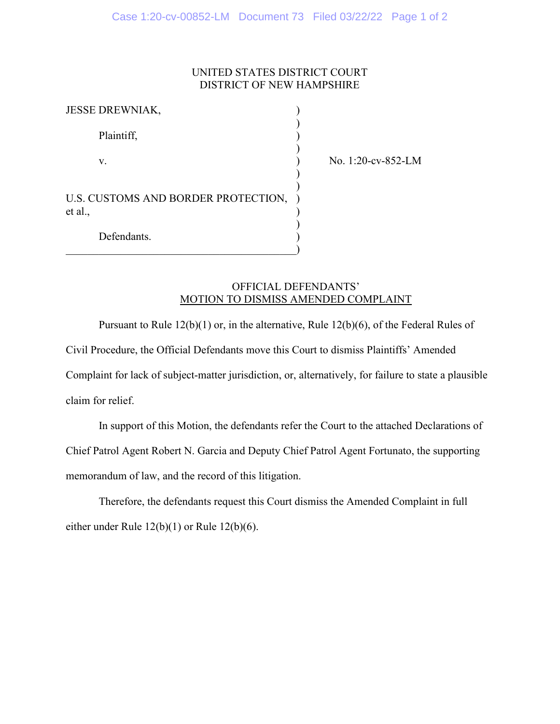# UNITED STATES DISTRICT COURT DISTRICT OF NEW HAMPSHIRE

)

| <b>JESSE DREWNIAK,</b>                         |  |
|------------------------------------------------|--|
| Plaintiff,                                     |  |
| V.                                             |  |
| U.S. CUSTOMS AND BORDER PROTECTION,<br>et al., |  |
| Defendants.                                    |  |

 $\hspace{.5cm}$   $\hspace{.5cm}$   $\hspace{.5cm}$   $\hspace{.5cm}$   $\hspace{.5cm}$   $\hspace{.5cm}$   $\hspace{.5cm}$   $\hspace{.5cm}$   $\hspace{.5cm}$   $\hspace{.5cm}$   $\hspace{.5cm}$   $\hspace{.5cm}$   $\hspace{.5cm}$   $\hspace{.5cm}$   $\hspace{.5cm}$   $\hspace{.5cm}$   $\hspace{.5cm}$   $\hspace{.5cm}$   $\hspace{.5cm}$   $\hspace{.5cm}$ 

No. 1:20-cv-852-LM

# OFFICIAL DEFENDANTS' MOTION TO DISMISS AMENDED COMPLAINT

Pursuant to Rule 12(b)(1) or, in the alternative, Rule 12(b)(6), of the Federal Rules of Civil Procedure, the Official Defendants move this Court to dismiss Plaintiffs' Amended Complaint for lack of subject-matter jurisdiction, or, alternatively, for failure to state a plausible claim for relief.

In support of this Motion, the defendants refer the Court to the attached Declarations of Chief Patrol Agent Robert N. Garcia and Deputy Chief Patrol Agent Fortunato, the supporting memorandum of law, and the record of this litigation.

Therefore, the defendants request this Court dismiss the Amended Complaint in full either under Rule 12(b)(1) or Rule 12(b)(6).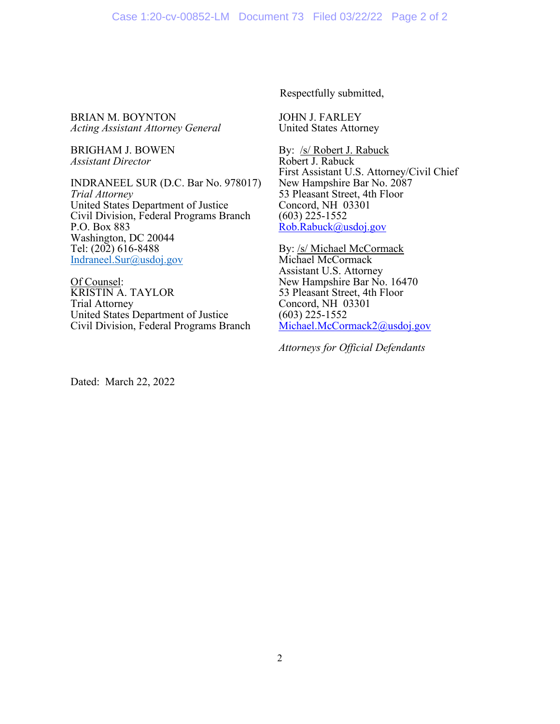BRIAN M. BOYNTON *Acting Assistant Attorney General*

BRIGHAM J. BOWEN *Assistant Director*

INDRANEEL SUR (D.C. Bar No. 978017) *Trial Attorney* United States Department of Justice Civil Division, Federal Programs Branch P.O. Box 883 Washington, DC 20044 Tel: (202) 616-8488 [Indraneel.Sur@usdoj.gov](mailto:Indraneel.Sur@usdoj.gov)

Of Counsel: KRISTIN A. TAYLOR Trial Attorney United States Department of Justice Civil Division, Federal Programs Branch Respectfully submitted,

JOHN J. FARLEY United States Attorney

By: /s/ Robert J. Rabuck Robert J. Rabuck First Assistant U.S. Attorney/Civil Chief New Hampshire Bar No. 2087 53 Pleasant Street, 4th Floor Concord, NH 03301 (603) 225-1552 [Rob.Rabuck@usdoj.gov](mailto:Rob.Rabuck@usdoj.gov)

By: /s/ Michael McCormack Michael McCormack Assistant U.S. Attorney New Hampshire Bar No. 16470 53 Pleasant Street, 4th Floor Concord, NH 03301 (603) 225-1552 [Michael.McCormack2@usdoj.gov](mailto:Michael.McCormack2@usdoj.gov)

*Attorneys for Official Defendants*

Dated: March 22, 2022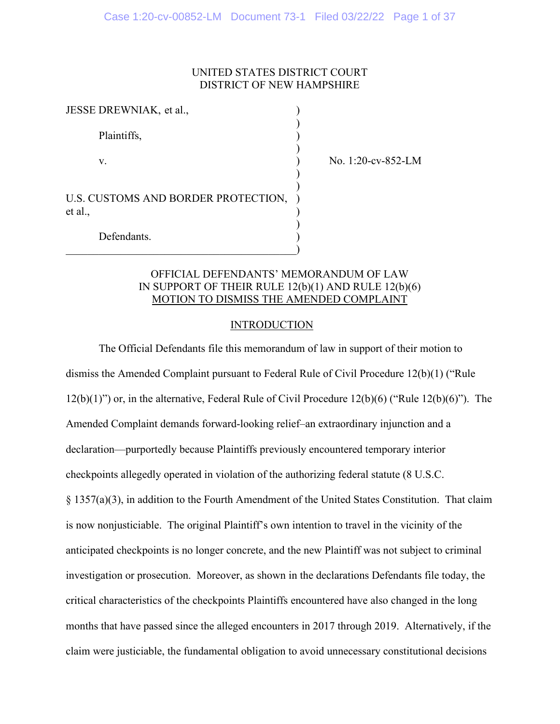## UNITED STATES DISTRICT COURT DISTRICT OF NEW HAMPSHIRE

) )

| JESSE DREWNIAK, et al.,                        |  |
|------------------------------------------------|--|
| Plaintiffs,                                    |  |
| V.                                             |  |
| U.S. CUSTOMS AND BORDER PROTECTION,<br>et al., |  |
| Defendants.                                    |  |

 $\hspace{.5cm}$   $\hspace{.5cm}$   $\hspace{.5cm}$   $\hspace{.5cm}$   $\hspace{.5cm}$   $\hspace{.5cm}$   $\hspace{.5cm}$   $\hspace{.5cm}$   $\hspace{.5cm}$   $\hspace{.5cm}$   $\hspace{.5cm}$   $\hspace{.5cm}$   $\hspace{.5cm}$   $\hspace{.5cm}$   $\hspace{.5cm}$   $\hspace{.5cm}$   $\hspace{.5cm}$   $\hspace{.5cm}$   $\hspace{.5cm}$   $\hspace{.5cm}$ 

No. 1:20-cv-852-LM

# OFFICIAL DEFENDANTS' MEMORANDUM OF LAW IN SUPPORT OF THEIR RULE 12(b)(1) AND RULE 12(b)(6) MOTION TO DISMISS THE AMENDED COMPLAINT

### INTRODUCTION

The Official Defendants file this memorandum of law in support of their motion to dismiss the Amended Complaint pursuant to Federal Rule of Civil Procedure 12(b)(1) ("Rule 12(b)(1)") or, in the alternative, Federal Rule of Civil Procedure 12(b)(6) ("Rule 12(b)(6)"). The Amended Complaint demands forward-looking relief–an extraordinary injunction and a declaration—purportedly because Plaintiffs previously encountered temporary interior checkpoints allegedly operated in violation of the authorizing federal statute (8 U.S.C. § 1357(a)(3), in addition to the Fourth Amendment of the United States Constitution. That claim is now nonjusticiable. The original Plaintiff's own intention to travel in the vicinity of the anticipated checkpoints is no longer concrete, and the new Plaintiff was not subject to criminal investigation or prosecution. Moreover, as shown in the declarations Defendants file today, the critical characteristics of the checkpoints Plaintiffs encountered have also changed in the long months that have passed since the alleged encounters in 2017 through 2019. Alternatively, if the claim were justiciable, the fundamental obligation to avoid unnecessary constitutional decisions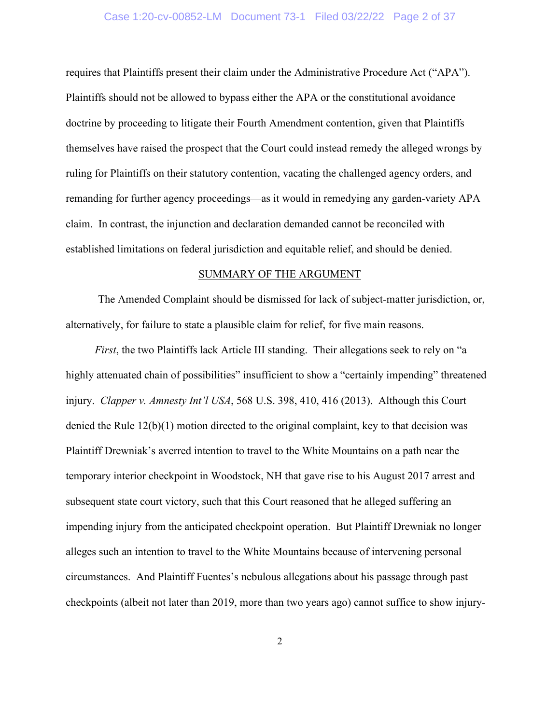#### Case 1:20-cv-00852-LM Document 73-1 Filed 03/22/22 Page 2 of 37

requires that Plaintiffs present their claim under the Administrative Procedure Act ("APA"). Plaintiffs should not be allowed to bypass either the APA or the constitutional avoidance doctrine by proceeding to litigate their Fourth Amendment contention, given that Plaintiffs themselves have raised the prospect that the Court could instead remedy the alleged wrongs by ruling for Plaintiffs on their statutory contention, vacating the challenged agency orders, and remanding for further agency proceedings—as it would in remedying any garden-variety APA claim. In contrast, the injunction and declaration demanded cannot be reconciled with established limitations on federal jurisdiction and equitable relief, and should be denied.

#### SUMMARY OF THE ARGUMENT

The Amended Complaint should be dismissed for lack of subject-matter jurisdiction, or, alternatively, for failure to state a plausible claim for relief, for five main reasons.

*First*, the two Plaintiffs lack Article III standing. Their allegations seek to rely on "a highly attenuated chain of possibilities" insufficient to show a "certainly impending" threatened injury. *Clapper v. Amnesty Int'l USA*, 568 U.S. 398, 410, 416 (2013). Although this Court denied the Rule 12(b)(1) motion directed to the original complaint, key to that decision was Plaintiff Drewniak's averred intention to travel to the White Mountains on a path near the temporary interior checkpoint in Woodstock, NH that gave rise to his August 2017 arrest and subsequent state court victory, such that this Court reasoned that he alleged suffering an impending injury from the anticipated checkpoint operation. But Plaintiff Drewniak no longer alleges such an intention to travel to the White Mountains because of intervening personal circumstances. And Plaintiff Fuentes's nebulous allegations about his passage through past checkpoints (albeit not later than 2019, more than two years ago) cannot suffice to show injury-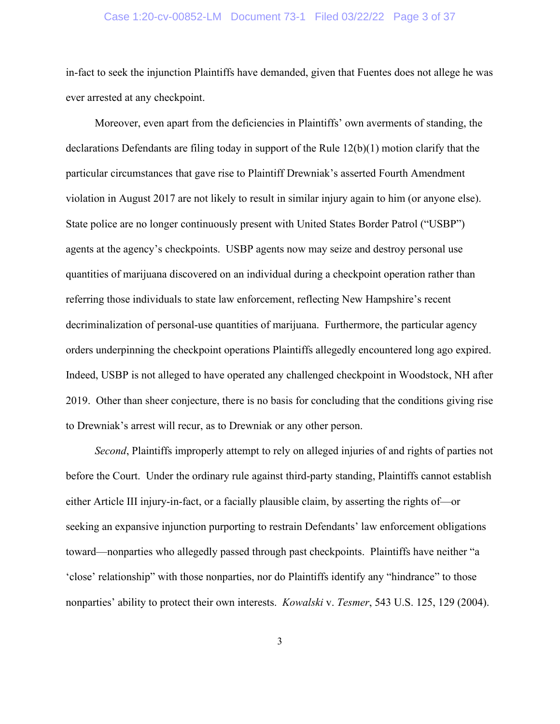#### Case 1:20-cv-00852-LM Document 73-1 Filed 03/22/22 Page 3 of 37

in-fact to seek the injunction Plaintiffs have demanded, given that Fuentes does not allege he was ever arrested at any checkpoint.

Moreover, even apart from the deficiencies in Plaintiffs' own averments of standing, the declarations Defendants are filing today in support of the Rule 12(b)(1) motion clarify that the particular circumstances that gave rise to Plaintiff Drewniak's asserted Fourth Amendment violation in August 2017 are not likely to result in similar injury again to him (or anyone else). State police are no longer continuously present with United States Border Patrol ("USBP") agents at the agency's checkpoints. USBP agents now may seize and destroy personal use quantities of marijuana discovered on an individual during a checkpoint operation rather than referring those individuals to state law enforcement, reflecting New Hampshire's recent decriminalization of personal-use quantities of marijuana. Furthermore, the particular agency orders underpinning the checkpoint operations Plaintiffs allegedly encountered long ago expired. Indeed, USBP is not alleged to have operated any challenged checkpoint in Woodstock, NH after 2019. Other than sheer conjecture, there is no basis for concluding that the conditions giving rise to Drewniak's arrest will recur, as to Drewniak or any other person.

*Second*, Plaintiffs improperly attempt to rely on alleged injuries of and rights of parties not before the Court. Under the ordinary rule against third-party standing, Plaintiffs cannot establish either Article III injury-in-fact, or a facially plausible claim, by asserting the rights of—or seeking an expansive injunction purporting to restrain Defendants' law enforcement obligations toward—nonparties who allegedly passed through past checkpoints. Plaintiffs have neither "a 'close' relationship" with those nonparties, nor do Plaintiffs identify any "hindrance" to those nonparties' ability to protect their own interests. *Kowalski* v. *Tesmer*, 543 U.S. 125, 129 (2004).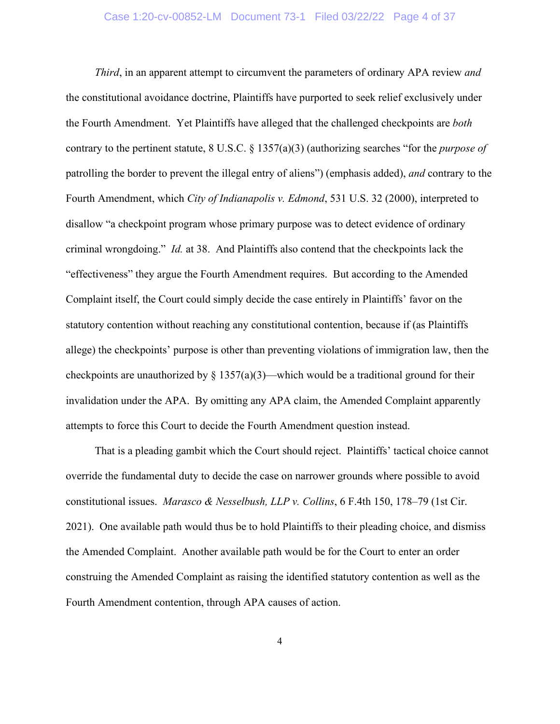*Third*, in an apparent attempt to circumvent the parameters of ordinary APA review *and* the constitutional avoidance doctrine, Plaintiffs have purported to seek relief exclusively under the Fourth Amendment. Yet Plaintiffs have alleged that the challenged checkpoints are *both* contrary to the pertinent statute, 8 U.S.C. § 1357(a)(3) (authorizing searches "for the *purpose of*  patrolling the border to prevent the illegal entry of aliens") (emphasis added), *and* contrary to the Fourth Amendment, which *City of Indianapolis v. Edmond*, 531 U.S. 32 (2000), interpreted to disallow "a checkpoint program whose primary purpose was to detect evidence of ordinary criminal wrongdoing." *Id.* at 38. And Plaintiffs also contend that the checkpoints lack the "effectiveness" they argue the Fourth Amendment requires. But according to the Amended Complaint itself, the Court could simply decide the case entirely in Plaintiffs' favor on the statutory contention without reaching any constitutional contention, because if (as Plaintiffs allege) the checkpoints' purpose is other than preventing violations of immigration law, then the checkpoints are unauthorized by  $\S 1357(a)(3)$ —which would be a traditional ground for their invalidation under the APA. By omitting any APA claim, the Amended Complaint apparently attempts to force this Court to decide the Fourth Amendment question instead.

That is a pleading gambit which the Court should reject. Plaintiffs' tactical choice cannot override the fundamental duty to decide the case on narrower grounds where possible to avoid constitutional issues. *Marasco & Nesselbush, LLP v. Collins*, 6 F.4th 150, 178–79 (1st Cir. 2021). One available path would thus be to hold Plaintiffs to their pleading choice, and dismiss the Amended Complaint. Another available path would be for the Court to enter an order construing the Amended Complaint as raising the identified statutory contention as well as the Fourth Amendment contention, through APA causes of action.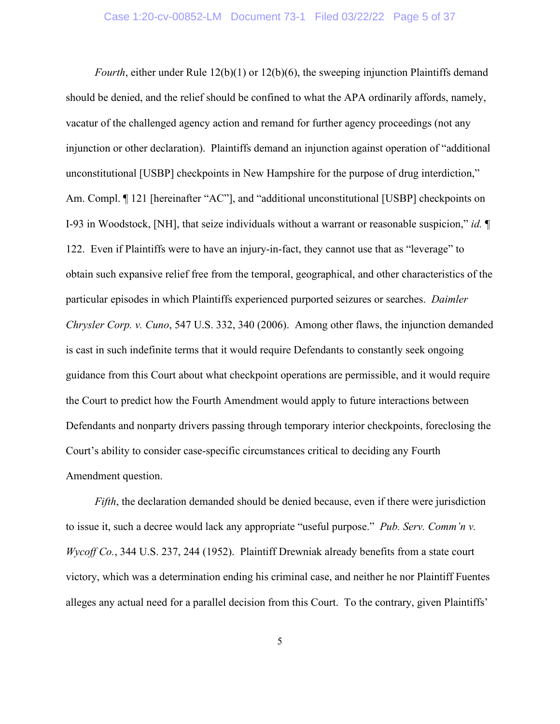*Fourth*, either under Rule 12(b)(1) or 12(b)(6), the sweeping injunction Plaintiffs demand should be denied, and the relief should be confined to what the APA ordinarily affords, namely, vacatur of the challenged agency action and remand for further agency proceedings (not any injunction or other declaration). Plaintiffs demand an injunction against operation of "additional unconstitutional [USBP] checkpoints in New Hampshire for the purpose of drug interdiction," Am. Compl.  $\P$  121 [hereinafter "AC"], and "additional unconstitutional [USBP] checkpoints on I-93 in Woodstock, [NH], that seize individuals without a warrant or reasonable suspicion," *id.* ¶ 122. Even if Plaintiffs were to have an injury-in-fact, they cannot use that as "leverage" to obtain such expansive relief free from the temporal, geographical, and other characteristics of the particular episodes in which Plaintiffs experienced purported seizures or searches. *Daimler Chrysler Corp. v. Cuno*, 547 U.S. 332, 340 (2006). Among other flaws, the injunction demanded is cast in such indefinite terms that it would require Defendants to constantly seek ongoing guidance from this Court about what checkpoint operations are permissible, and it would require the Court to predict how the Fourth Amendment would apply to future interactions between Defendants and nonparty drivers passing through temporary interior checkpoints, foreclosing the Court's ability to consider case-specific circumstances critical to deciding any Fourth Amendment question.

*Fifth*, the declaration demanded should be denied because, even if there were jurisdiction to issue it, such a decree would lack any appropriate "useful purpose." *Pub. Serv. Comm'n v. Wycoff Co.*, 344 U.S. 237, 244 (1952). Plaintiff Drewniak already benefits from a state court victory, which was a determination ending his criminal case, and neither he nor Plaintiff Fuentes alleges any actual need for a parallel decision from this Court. To the contrary, given Plaintiffs'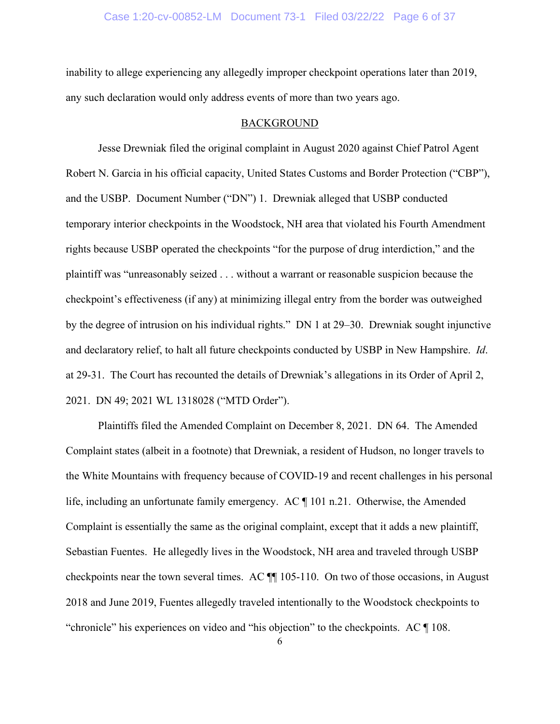#### Case 1:20-cv-00852-LM Document 73-1 Filed 03/22/22 Page 6 of 37

inability to allege experiencing any allegedly improper checkpoint operations later than 2019, any such declaration would only address events of more than two years ago.

#### BACKGROUND

Jesse Drewniak filed the original complaint in August 2020 against Chief Patrol Agent Robert N. Garcia in his official capacity, United States Customs and Border Protection ("CBP"), and the USBP. Document Number ("DN") 1. Drewniak alleged that USBP conducted temporary interior checkpoints in the Woodstock, NH area that violated his Fourth Amendment rights because USBP operated the checkpoints "for the purpose of drug interdiction," and the plaintiff was "unreasonably seized . . . without a warrant or reasonable suspicion because the checkpoint's effectiveness (if any) at minimizing illegal entry from the border was outweighed by the degree of intrusion on his individual rights." DN 1 at 29–30. Drewniak sought injunctive and declaratory relief, to halt all future checkpoints conducted by USBP in New Hampshire. *Id*. at 29-31. The Court has recounted the details of Drewniak's allegations in its Order of April 2, 2021. DN 49; 2021 WL 1318028 ("MTD Order").

Plaintiffs filed the Amended Complaint on December 8, 2021. DN 64. The Amended Complaint states (albeit in a footnote) that Drewniak, a resident of Hudson, no longer travels to the White Mountains with frequency because of COVID-19 and recent challenges in his personal life, including an unfortunate family emergency. AC ¶ 101 n.21. Otherwise, the Amended Complaint is essentially the same as the original complaint, except that it adds a new plaintiff, Sebastian Fuentes. He allegedly lives in the Woodstock, NH area and traveled through USBP checkpoints near the town several times. AC ¶¶ 105-110. On two of those occasions, in August 2018 and June 2019, Fuentes allegedly traveled intentionally to the Woodstock checkpoints to "chronicle" his experiences on video and "his objection" to the checkpoints. AC ¶ 108.

6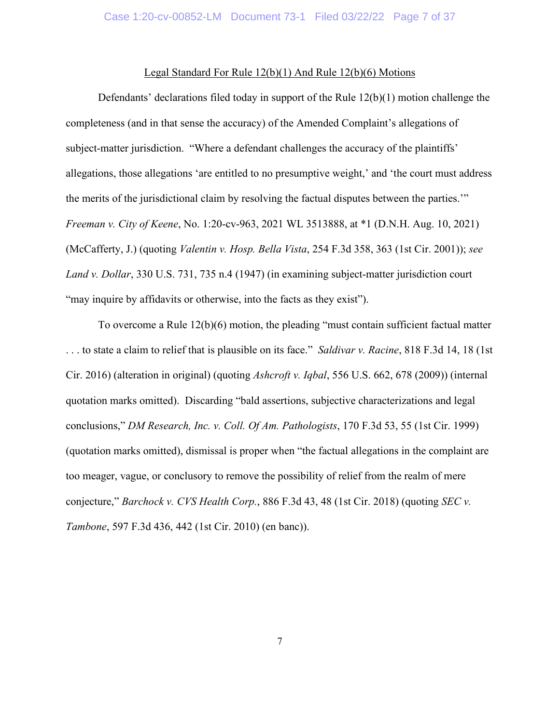#### Legal Standard For Rule 12(b)(1) And Rule 12(b)(6) Motions

Defendants' declarations filed today in support of the Rule 12(b)(1) motion challenge the completeness (and in that sense the accuracy) of the Amended Complaint's allegations of subject-matter jurisdiction. "Where a defendant challenges the accuracy of the plaintiffs' allegations, those allegations 'are entitled to no presumptive weight,' and 'the court must address the merits of the jurisdictional claim by resolving the factual disputes between the parties.'" *Freeman v. City of Keene*, No. 1:20-cv-963, 2021 WL 3513888, at \*1 (D.N.H. Aug. 10, 2021) (McCafferty, J.) (quoting *Valentin v. Hosp. Bella Vista*, 254 F.3d 358, 363 (1st Cir. 2001)); *see Land v. Dollar*, 330 U.S. 731, 735 n.4 (1947) (in examining subject-matter jurisdiction court "may inquire by affidavits or otherwise, into the facts as they exist").

To overcome a Rule 12(b)(6) motion, the pleading "must contain sufficient factual matter . . . to state a claim to relief that is plausible on its face." *Saldivar v. Racine*, 818 F.3d 14, 18 (1st Cir. 2016) (alteration in original) (quoting *Ashcroft v. Iqbal*, 556 U.S. 662, 678 (2009)) (internal quotation marks omitted). Discarding "bald assertions, subjective characterizations and legal conclusions," *DM Research, Inc. v. Coll. Of Am. Pathologists*, 170 F.3d 53, 55 (1st Cir. 1999) (quotation marks omitted), dismissal is proper when "the factual allegations in the complaint are too meager, vague, or conclusory to remove the possibility of relief from the realm of mere conjecture," *Barchock v. CVS Health Corp.*, 886 F.3d 43, 48 (1st Cir. 2018) (quoting *SEC v. Tambone*, 597 F.3d 436, 442 (1st Cir. 2010) (en banc)).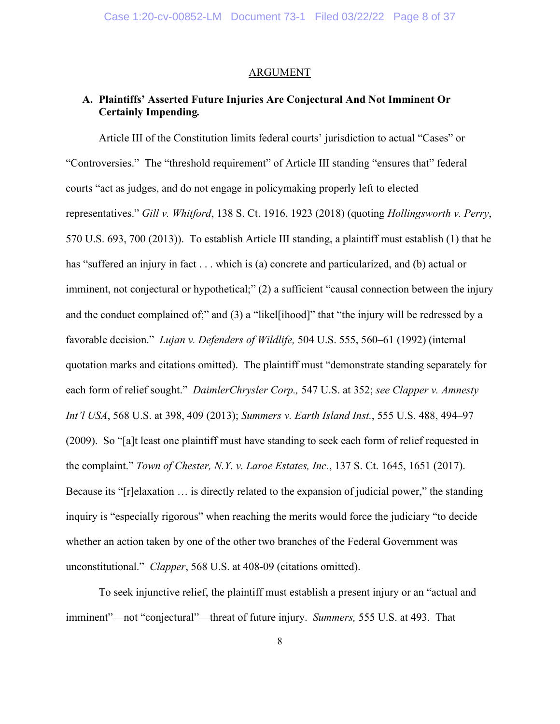#### ARGUMENT

# **A. Plaintiffs' Asserted Future Injuries Are Conjectural And Not Imminent Or Certainly Impending***.*

Article III of the Constitution limits federal courts' jurisdiction to actual "Cases" or "Controversies." The "threshold requirement" of Article III standing "ensures that" federal courts "act as judges, and do not engage in policymaking properly left to elected representatives." *Gill v. Whitford*, 138 S. Ct. 1916, 1923 (2018) (quoting *Hollingsworth v. Perry*, 570 U.S. 693, 700 (2013)). To establish Article III standing, a plaintiff must establish (1) that he has "suffered an injury in fact . . . which is (a) concrete and particularized, and (b) actual or imminent, not conjectural or hypothetical;" (2) a sufficient "causal connection between the injury and the conduct complained of;" and (3) a "likel[ihood]" that "the injury will be redressed by a favorable decision." *Lujan v. Defenders of Wildlife,* 504 U.S. 555, 560–61 (1992) (internal quotation marks and citations omitted). The plaintiff must "demonstrate standing separately for each form of relief sought." *DaimlerChrysler Corp.,* 547 U.S. at 352; *see Clapper v. Amnesty Int'l USA*, 568 U.S. at 398, 409 (2013); *Summers v. Earth Island Inst.*, 555 U.S. 488, 494–97 (2009). So "[a]t least one plaintiff must have standing to seek each form of relief requested in the complaint." *Town of Chester, N.Y. v. Laroe Estates, Inc.*, 137 S. Ct. 1645, 1651 (2017). Because its "[r]elaxation … is directly related to the expansion of judicial power," the standing inquiry is "especially rigorous" when reaching the merits would force the judiciary "to decide whether an action taken by one of the other two branches of the Federal Government was unconstitutional." *Clapper*, 568 U.S. at 408-09 (citations omitted).

To seek injunctive relief, the plaintiff must establish a present injury or an "actual and imminent"—not "conjectural"—threat of future injury. *Summers,* 555 U.S. at 493. That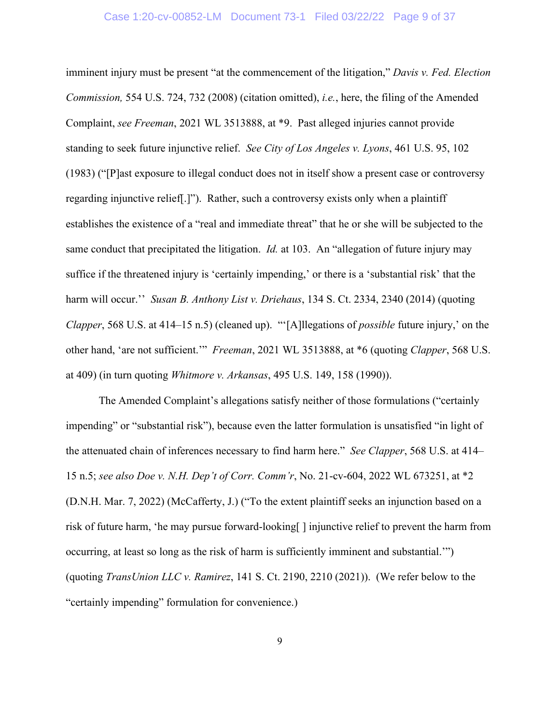#### Case 1:20-cv-00852-LM Document 73-1 Filed 03/22/22 Page 9 of 37

imminent injury must be present "at the commencement of the litigation," *Davis v. Fed. Election Commission,* 554 U.S. 724, 732 (2008) (citation omitted), *i.e.*, here, the filing of the Amended Complaint, *see Freeman*, 2021 WL 3513888, at \*9. Past alleged injuries cannot provide standing to seek future injunctive relief. *See City of Los Angeles v. Lyons*, 461 U.S. 95, 102 (1983) ("[P]ast exposure to illegal conduct does not in itself show a present case or controversy regarding injunctive relief[.]"). Rather, such a controversy exists only when a plaintiff establishes the existence of a "real and immediate threat" that he or she will be subjected to the same conduct that precipitated the litigation. *Id.* at 103. An "allegation of future injury may suffice if the threatened injury is 'certainly impending,' or there is a 'substantial risk' that the harm will occur.'' *Susan B. Anthony List v. Driehaus*, 134 S. Ct. 2334, 2340 (2014) (quoting *Clapper*, 568 U.S. at 414–15 n.5) (cleaned up). "'[A]llegations of *possible* future injury,' on the other hand, 'are not sufficient.'" *Freeman*, 2021 WL 3513888, at \*6 (quoting *Clapper*, 568 U.S. at 409) (in turn quoting *Whitmore v. Arkansas*, 495 U.S. 149, 158 (1990)).

The Amended Complaint's allegations satisfy neither of those formulations ("certainly impending" or "substantial risk"), because even the latter formulation is unsatisfied "in light of the attenuated chain of inferences necessary to find harm here." *See Clapper*, 568 U.S. at 414– 15 n.5; *see also Doe v. N.H. Dep't of Corr. Comm'r*, No. 21-cv-604, 2022 WL 673251, at \*2 (D.N.H. Mar. 7, 2022) (McCafferty, J.) ("To the extent plaintiff seeks an injunction based on a risk of future harm, 'he may pursue forward-looking[ ] injunctive relief to prevent the harm from occurring, at least so long as the risk of harm is sufficiently imminent and substantial.'") (quoting *TransUnion LLC v. Ramirez*, 141 S. Ct. 2190, 2210 (2021)). (We refer below to the "certainly impending" formulation for convenience.)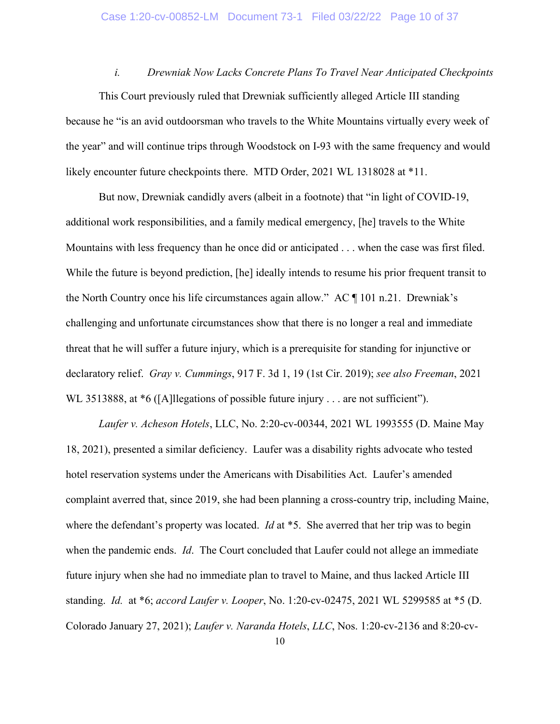*i. Drewniak Now Lacks Concrete Plans To Travel Near Anticipated Checkpoints* This Court previously ruled that Drewniak sufficiently alleged Article III standing because he "is an avid outdoorsman who travels to the White Mountains virtually every week of the year" and will continue trips through Woodstock on I-93 with the same frequency and would likely encounter future checkpoints there. MTD Order, 2021 WL 1318028 at \*11.

But now, Drewniak candidly avers (albeit in a footnote) that "in light of COVID-19, additional work responsibilities, and a family medical emergency, [he] travels to the White Mountains with less frequency than he once did or anticipated . . . when the case was first filed. While the future is beyond prediction, [he] ideally intends to resume his prior frequent transit to the North Country once his life circumstances again allow." AC ¶ 101 n.21. Drewniak's challenging and unfortunate circumstances show that there is no longer a real and immediate threat that he will suffer a future injury, which is a prerequisite for standing for injunctive or declaratory relief. *Gray v. Cummings*, 917 F. 3d 1, 19 (1st Cir. 2019); *see also Freeman*, 2021 WL 3513888, at  $*6$  ([A]llegations of possible future injury . . . are not sufficient").

*Laufer v. Acheson Hotels*, LLC, No. 2:20-cv-00344, 2021 WL 1993555 (D. Maine May 18, 2021), presented a similar deficiency. Laufer was a disability rights advocate who tested hotel reservation systems under the Americans with Disabilities Act. Laufer's amended complaint averred that, since 2019, she had been planning a cross-country trip, including Maine, where the defendant's property was located. *Id* at \*5. She averred that her trip was to begin when the pandemic ends. *Id*. The Court concluded that Laufer could not allege an immediate future injury when she had no immediate plan to travel to Maine, and thus lacked Article III standing. *Id.* at \*6; *accord Laufer v. Looper*, No. 1:20-cv-02475, 2021 WL 5299585 at \*5 (D. Colorado January 27, 2021); *Laufer v. Naranda Hotels*, *LLC*, Nos. 1:20-cv-2136 and 8:20-cv-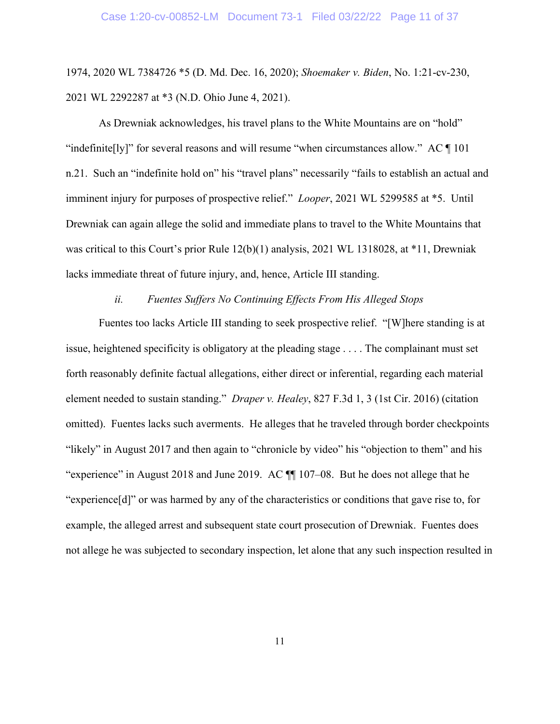1974, 2020 WL 7384726 \*5 (D. Md. Dec. 16, 2020); *Shoemaker v. Biden*, No. 1:21-cv-230, 2021 WL 2292287 at \*3 (N.D. Ohio June 4, 2021).

As Drewniak acknowledges, his travel plans to the White Mountains are on "hold" "indefinite[ly]" for several reasons and will resume "when circumstances allow." AC  $\P$  101 n.21. Such an "indefinite hold on" his "travel plans" necessarily "fails to establish an actual and imminent injury for purposes of prospective relief." *Looper*, 2021 WL 5299585 at \*5. Until Drewniak can again allege the solid and immediate plans to travel to the White Mountains that was critical to this Court's prior Rule 12(b)(1) analysis, 2021 WL 1318028, at \*11, Drewniak lacks immediate threat of future injury, and, hence, Article III standing.

### *ii. Fuentes Suffers No Continuing Effects From His Alleged Stops*

Fuentes too lacks Article III standing to seek prospective relief. "[W]here standing is at issue, heightened specificity is obligatory at the pleading stage . . . . The complainant must set forth reasonably definite factual allegations, either direct or inferential, regarding each material element needed to sustain standing." *Draper v. Healey*, 827 F.3d 1, 3 (1st Cir. 2016) (citation omitted). Fuentes lacks such averments. He alleges that he traveled through border checkpoints "likely" in August 2017 and then again to "chronicle by video" his "objection to them" and his "experience" in August 2018 and June 2019. AC ¶¶ 107–08. But he does not allege that he "experience[d]" or was harmed by any of the characteristics or conditions that gave rise to, for example, the alleged arrest and subsequent state court prosecution of Drewniak. Fuentes does not allege he was subjected to secondary inspection, let alone that any such inspection resulted in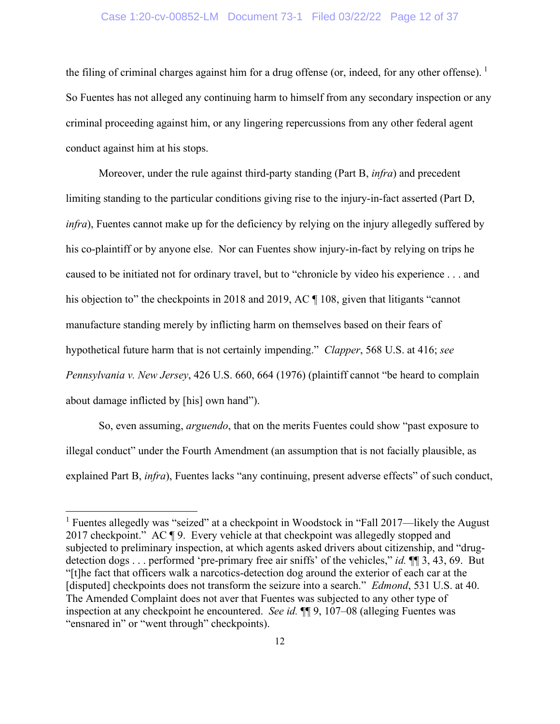### Case 1:20-cv-00852-LM Document 73-1 Filed 03/22/22 Page 12 of 37

the filing of criminal charges against him for a drug offense (or, indeed, for any other offense).  $^1$  $^1$ So Fuentes has not alleged any continuing harm to himself from any secondary inspection or any criminal proceeding against him, or any lingering repercussions from any other federal agent conduct against him at his stops.

Moreover, under the rule against third-party standing (Part B, *infra*) and precedent limiting standing to the particular conditions giving rise to the injury-in-fact asserted (Part D, *infra*), Fuentes cannot make up for the deficiency by relying on the injury allegedly suffered by his co-plaintiff or by anyone else. Nor can Fuentes show injury-in-fact by relying on trips he caused to be initiated not for ordinary travel, but to "chronicle by video his experience . . . and his objection to" the checkpoints in 2018 and 2019, AC ¶ 108, given that litigants "cannot" manufacture standing merely by inflicting harm on themselves based on their fears of hypothetical future harm that is not certainly impending." *Clapper*, 568 U.S. at 416; *see Pennsylvania v. New Jersey*, 426 U.S. 660, 664 (1976) (plaintiff cannot "be heard to complain about damage inflicted by [his] own hand").

So, even assuming, *arguendo*, that on the merits Fuentes could show "past exposure to illegal conduct" under the Fourth Amendment (an assumption that is not facially plausible, as explained Part B, *infra*), Fuentes lacks "any continuing, present adverse effects" of such conduct,

<span id="page-13-0"></span><sup>&</sup>lt;sup>1</sup> Fuentes allegedly was "seized" at a checkpoint in Woodstock in "Fall 2017—likely the August 2017 checkpoint." AC ¶ 9. Every vehicle at that checkpoint was allegedly stopped and subjected to preliminary inspection, at which agents asked drivers about citizenship, and "drugdetection dogs . . . performed 'pre-primary free air sniffs' of the vehicles," *id.* ¶¶ 3, 43, 69. But "[t]he fact that officers walk a narcotics-detection dog around the exterior of each car at the [disputed] checkpoints does not transform the seizure into a search." *Edmond*, 531 U.S. at 40. The Amended Complaint does not aver that Fuentes was subjected to any other type of inspection at any checkpoint he encountered. *See id.* ¶¶ 9, 107–08 (alleging Fuentes was "ensnared in" or "went through" checkpoints).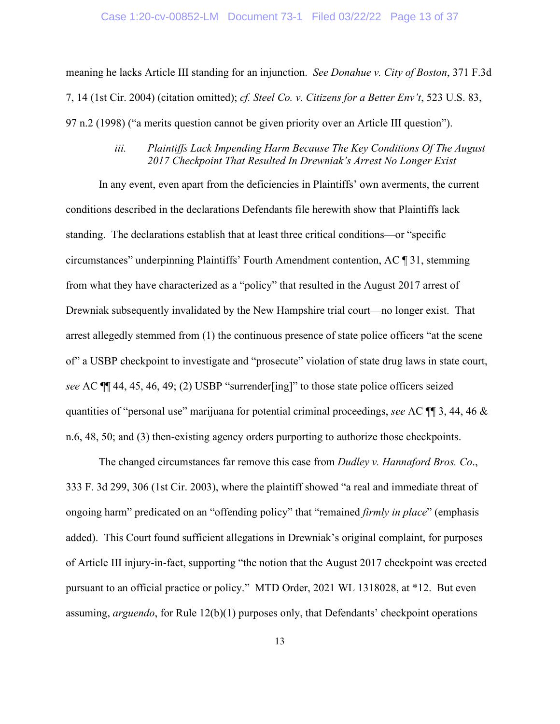#### Case 1:20-cv-00852-LM Document 73-1 Filed 03/22/22 Page 13 of 37

meaning he lacks Article III standing for an injunction. *See Donahue v. City of Boston*, 371 F.3d 7, 14 (1st Cir. 2004) (citation omitted); *cf. Steel Co. v. Citizens for a Better Env't*, 523 U.S. 83, 97 n.2 (1998) ("a merits question cannot be given priority over an Article III question").

## *iii. Plaintiffs Lack Impending Harm Because The Key Conditions Of The August 2017 Checkpoint That Resulted In Drewniak's Arrest No Longer Exist*

In any event, even apart from the deficiencies in Plaintiffs' own averments, the current conditions described in the declarations Defendants file herewith show that Plaintiffs lack standing. The declarations establish that at least three critical conditions—or "specific circumstances" underpinning Plaintiffs' Fourth Amendment contention, AC ¶ 31, stemming from what they have characterized as a "policy" that resulted in the August 2017 arrest of Drewniak subsequently invalidated by the New Hampshire trial court—no longer exist. That arrest allegedly stemmed from (1) the continuous presence of state police officers "at the scene of" a USBP checkpoint to investigate and "prosecute" violation of state drug laws in state court, *see* AC ¶¶ 44, 45, 46, 49; (2) USBP "surrender[ing]" to those state police officers seized quantities of "personal use" marijuana for potential criminal proceedings, *see* AC ¶¶ 3, 44, 46 & n.6, 48, 50; and (3) then-existing agency orders purporting to authorize those checkpoints.

The changed circumstances far remove this case from *Dudley v. Hannaford Bros. Co*., 333 F. 3d 299, 306 (1st Cir. 2003), where the plaintiff showed "a real and immediate threat of ongoing harm" predicated on an "offending policy" that "remained *firmly in place*" (emphasis added). This Court found sufficient allegations in Drewniak's original complaint, for purposes of Article III injury-in-fact, supporting "the notion that the August 2017 checkpoint was erected pursuant to an official practice or policy." MTD Order, 2021 WL 1318028, at \*12. But even assuming, *arguendo*, for Rule 12(b)(1) purposes only, that Defendants' checkpoint operations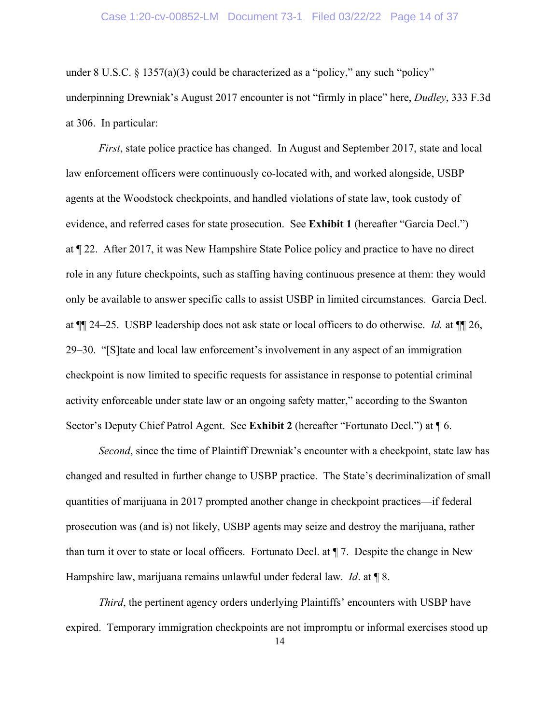#### Case 1:20-cv-00852-LM Document 73-1 Filed 03/22/22 Page 14 of 37

under 8 U.S.C. § 1357(a)(3) could be characterized as a "policy," any such "policy" underpinning Drewniak's August 2017 encounter is not "firmly in place" here, *Dudley*, 333 F.3d at 306. In particular:

*First*, state police practice has changed. In August and September 2017, state and local law enforcement officers were continuously co-located with, and worked alongside, USBP agents at the Woodstock checkpoints, and handled violations of state law, took custody of evidence, and referred cases for state prosecution. See **Exhibit 1** (hereafter "Garcia Decl.") at ¶ 22. After 2017, it was New Hampshire State Police policy and practice to have no direct role in any future checkpoints, such as staffing having continuous presence at them: they would only be available to answer specific calls to assist USBP in limited circumstances. Garcia Decl. at ¶¶ 24–25. USBP leadership does not ask state or local officers to do otherwise. *Id.* at ¶¶ 26, 29–30. "[S]tate and local law enforcement's involvement in any aspect of an immigration checkpoint is now limited to specific requests for assistance in response to potential criminal activity enforceable under state law or an ongoing safety matter," according to the Swanton Sector's Deputy Chief Patrol Agent. See **Exhibit 2** (hereafter "Fortunato Decl.") at ¶ 6.

*Second*, since the time of Plaintiff Drewniak's encounter with a checkpoint, state law has changed and resulted in further change to USBP practice. The State's decriminalization of small quantities of marijuana in 2017 prompted another change in checkpoint practices—if federal prosecution was (and is) not likely, USBP agents may seize and destroy the marijuana, rather than turn it over to state or local officers. Fortunato Decl. at ¶ 7. Despite the change in New Hampshire law, marijuana remains unlawful under federal law. *Id*. at ¶ 8.

*Third*, the pertinent agency orders underlying Plaintiffs' encounters with USBP have expired. Temporary immigration checkpoints are not impromptu or informal exercises stood up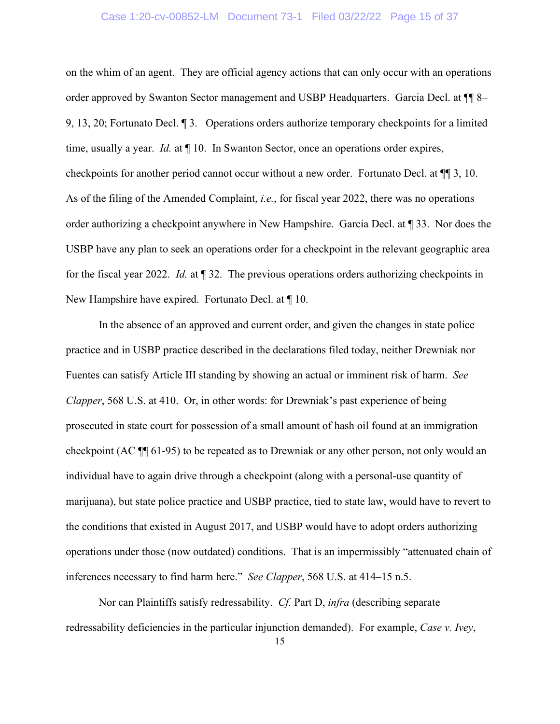### Case 1:20-cv-00852-LM Document 73-1 Filed 03/22/22 Page 15 of 37

on the whim of an agent. They are official agency actions that can only occur with an operations order approved by Swanton Sector management and USBP Headquarters. Garcia Decl. at  $\P$  8– 9, 13, 20; Fortunato Decl. ¶ 3. Operations orders authorize temporary checkpoints for a limited time, usually a year. *Id.* at ¶ 10. In Swanton Sector, once an operations order expires, checkpoints for another period cannot occur without a new order. Fortunato Decl. at ¶¶ 3, 10. As of the filing of the Amended Complaint, *i.e.*, for fiscal year 2022, there was no operations order authorizing a checkpoint anywhere in New Hampshire. Garcia Decl. at ¶ 33. Nor does the USBP have any plan to seek an operations order for a checkpoint in the relevant geographic area for the fiscal year 2022. *Id.* at ¶ 32. The previous operations orders authorizing checkpoints in New Hampshire have expired. Fortunato Decl. at ¶ 10.

In the absence of an approved and current order, and given the changes in state police practice and in USBP practice described in the declarations filed today, neither Drewniak nor Fuentes can satisfy Article III standing by showing an actual or imminent risk of harm. *See Clapper*, 568 U.S. at 410. Or, in other words: for Drewniak's past experience of being prosecuted in state court for possession of a small amount of hash oil found at an immigration checkpoint (AC ¶¶ 61-95) to be repeated as to Drewniak or any other person, not only would an individual have to again drive through a checkpoint (along with a personal-use quantity of marijuana), but state police practice and USBP practice, tied to state law, would have to revert to the conditions that existed in August 2017, and USBP would have to adopt orders authorizing operations under those (now outdated) conditions. That is an impermissibly "attenuated chain of inferences necessary to find harm here." *See Clapper*, 568 U.S. at 414–15 n.5.

Nor can Plaintiffs satisfy redressability. *Cf.* Part D, *infra* (describing separate redressability deficiencies in the particular injunction demanded). For example, *Case v. Ivey*,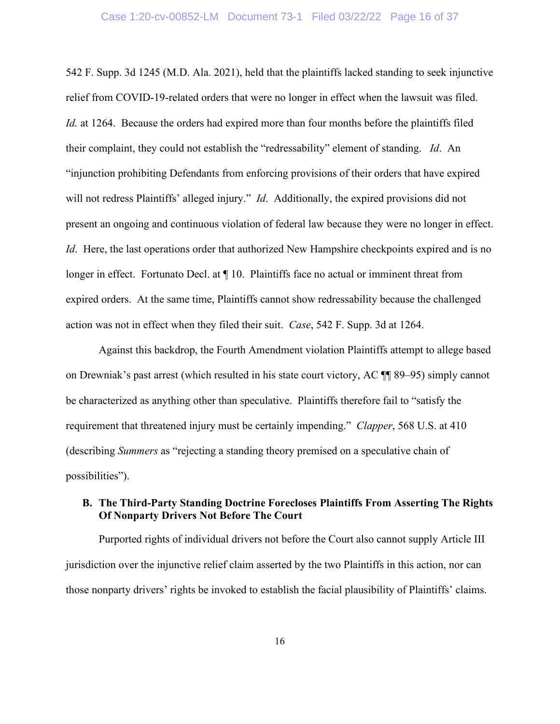542 F. Supp. 3d 1245 (M.D. Ala. 2021), held that the plaintiffs lacked standing to seek injunctive relief from COVID-19-related orders that were no longer in effect when the lawsuit was filed. *Id.* at 1264. Because the orders had expired more than four months before the plaintiffs filed their complaint, they could not establish the "redressability" element of standing. *Id*. An "injunction prohibiting Defendants from enforcing provisions of their orders that have expired will not redress Plaintiffs' alleged injury." *Id.* Additionally, the expired provisions did not present an ongoing and continuous violation of federal law because they were no longer in effect. *Id.* Here, the last operations order that authorized New Hampshire checkpoints expired and is no longer in effect. Fortunato Decl. at  $\P$  10. Plaintiffs face no actual or imminent threat from expired orders. At the same time, Plaintiffs cannot show redressability because the challenged action was not in effect when they filed their suit. *Case*, 542 F. Supp. 3d at 1264.

Against this backdrop, the Fourth Amendment violation Plaintiffs attempt to allege based on Drewniak's past arrest (which resulted in his state court victory, AC ¶¶ 89–95) simply cannot be characterized as anything other than speculative. Plaintiffs therefore fail to "satisfy the requirement that threatened injury must be certainly impending." *Clapper*, 568 U.S. at 410 (describing *Summers* as "rejecting a standing theory premised on a speculative chain of possibilities").

# **B. The Third-Party Standing Doctrine Forecloses Plaintiffs From Asserting The Rights Of Nonparty Drivers Not Before The Court**

Purported rights of individual drivers not before the Court also cannot supply Article III jurisdiction over the injunctive relief claim asserted by the two Plaintiffs in this action, nor can those nonparty drivers' rights be invoked to establish the facial plausibility of Plaintiffs' claims.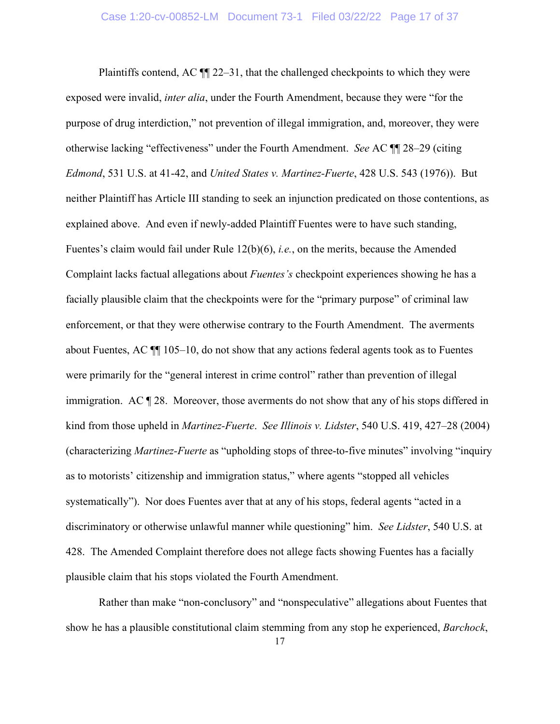Plaintiffs contend, AC ¶¶ 22–31, that the challenged checkpoints to which they were exposed were invalid, *inter alia*, under the Fourth Amendment, because they were "for the purpose of drug interdiction," not prevention of illegal immigration, and, moreover, they were otherwise lacking "effectiveness" under the Fourth Amendment. *See* AC ¶¶ 28–29 (citing *Edmond*, 531 U.S. at 41-42, and *United States v. Martinez-Fuerte*, 428 U.S. 543 (1976)). But neither Plaintiff has Article III standing to seek an injunction predicated on those contentions, as explained above. And even if newly-added Plaintiff Fuentes were to have such standing, Fuentes's claim would fail under Rule 12(b)(6), *i.e.*, on the merits, because the Amended Complaint lacks factual allegations about *Fuentes's* checkpoint experiences showing he has a facially plausible claim that the checkpoints were for the "primary purpose" of criminal law enforcement, or that they were otherwise contrary to the Fourth Amendment. The averments about Fuentes, AC ¶¶ 105–10, do not show that any actions federal agents took as to Fuentes were primarily for the "general interest in crime control" rather than prevention of illegal immigration. AC ¶ 28. Moreover, those averments do not show that any of his stops differed in kind from those upheld in *Martinez-Fuerte*. *See Illinois v. Lidster*, 540 U.S. 419, 427–28 (2004) (characterizing *Martinez-Fuerte* as "upholding stops of three-to-five minutes" involving "inquiry as to motorists' citizenship and immigration status," where agents "stopped all vehicles systematically"). Nor does Fuentes aver that at any of his stops, federal agents "acted in a discriminatory or otherwise unlawful manner while questioning" him. *See Lidster*, 540 U.S. at 428. The Amended Complaint therefore does not allege facts showing Fuentes has a facially plausible claim that his stops violated the Fourth Amendment.

Rather than make "non-conclusory" and "nonspeculative" allegations about Fuentes that show he has a plausible constitutional claim stemming from any stop he experienced, *Barchock*,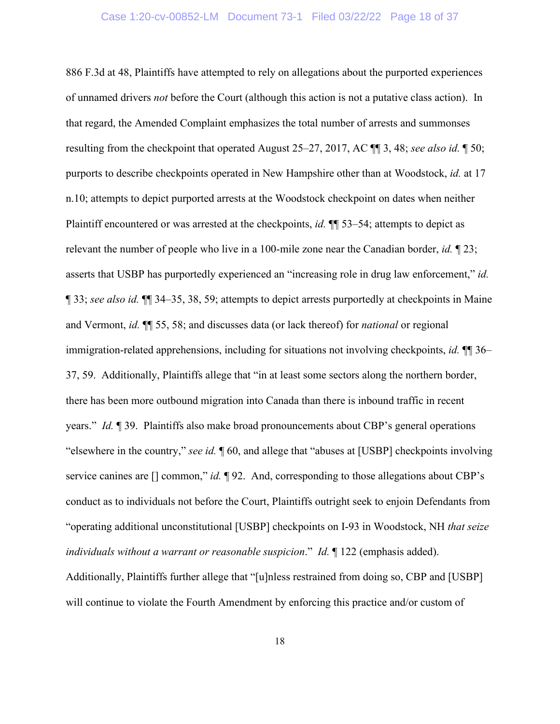#### Case 1:20-cv-00852-LM Document 73-1 Filed 03/22/22 Page 18 of 37

886 F.3d at 48, Plaintiffs have attempted to rely on allegations about the purported experiences of unnamed drivers *not* before the Court (although this action is not a putative class action). In that regard, the Amended Complaint emphasizes the total number of arrests and summonses resulting from the checkpoint that operated August 25–27, 2017, AC ¶¶ 3, 48; *see also id.* ¶ 50; purports to describe checkpoints operated in New Hampshire other than at Woodstock, *id.* at 17 n.10; attempts to depict purported arrests at the Woodstock checkpoint on dates when neither Plaintiff encountered or was arrested at the checkpoints, *id.* ¶¶ 53–54; attempts to depict as relevant the number of people who live in a 100-mile zone near the Canadian border, *id.* ¶ 23; asserts that USBP has purportedly experienced an "increasing role in drug law enforcement," *id.* ¶ 33; *see also id.* ¶¶ 34–35, 38, 59; attempts to depict arrests purportedly at checkpoints in Maine and Vermont, *id.* ¶¶ 55, 58; and discusses data (or lack thereof) for *national* or regional immigration-related apprehensions, including for situations not involving checkpoints, *id.* ¶¶ 36– 37, 59. Additionally, Plaintiffs allege that "in at least some sectors along the northern border, there has been more outbound migration into Canada than there is inbound traffic in recent years." *Id.* ¶ 39. Plaintiffs also make broad pronouncements about CBP's general operations "elsewhere in the country," *see id.* ¶ 60, and allege that "abuses at [USBP] checkpoints involving service canines are [] common," *id.*  $\P$  92. And, corresponding to those allegations about CBP's conduct as to individuals not before the Court, Plaintiffs outright seek to enjoin Defendants from "operating additional unconstitutional [USBP] checkpoints on I-93 in Woodstock, NH *that seize individuals without a warrant or reasonable suspicion*." *Id.* ¶ 122 (emphasis added). Additionally, Plaintiffs further allege that "[u]nless restrained from doing so, CBP and [USBP] will continue to violate the Fourth Amendment by enforcing this practice and/or custom of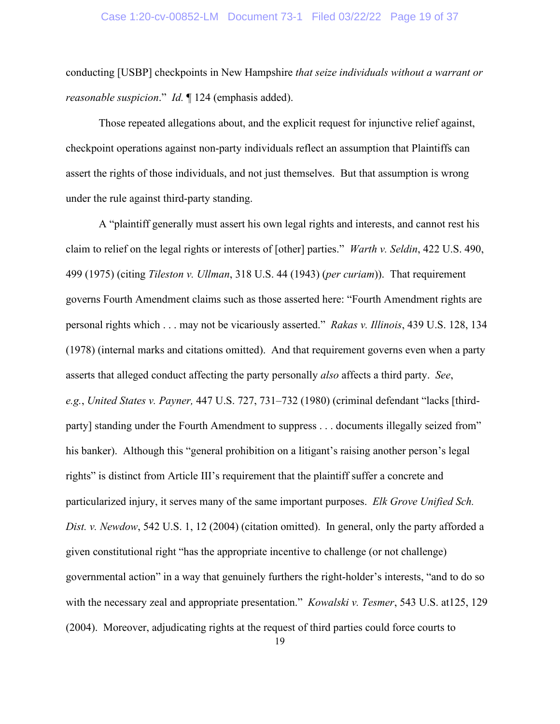conducting [USBP] checkpoints in New Hampshire *that seize individuals without a warrant or reasonable suspicion*." *Id.* ¶ 124 (emphasis added).

Those repeated allegations about, and the explicit request for injunctive relief against, checkpoint operations against non-party individuals reflect an assumption that Plaintiffs can assert the rights of those individuals, and not just themselves. But that assumption is wrong under the rule against third-party standing.

A "plaintiff generally must assert his own legal rights and interests, and cannot rest his claim to relief on the legal rights or interests of [other] parties." *Warth v. Seldin*, 422 U.S. 490, 499 (1975) (citing *Tileston v. Ullman*, 318 U.S. 44 (1943) (*per curiam*)). That requirement governs Fourth Amendment claims such as those asserted here: "Fourth Amendment rights are personal rights which . . . may not be vicariously asserted." *Rakas v. Illinois*, 439 U.S. 128, 134 (1978) (internal marks and citations omitted). And that requirement governs even when a party asserts that alleged conduct affecting the party personally *also* affects a third party. *See*, *e.g.*, *United States v. Payner,* 447 U.S. 727, 731–732 (1980) (criminal defendant "lacks [thirdparty] standing under the Fourth Amendment to suppress . . . documents illegally seized from" his banker). Although this "general prohibition on a litigant's raising another person's legal rights" is distinct from Article III's requirement that the plaintiff suffer a concrete and particularized injury, it serves many of the same important purposes. *Elk Grove Unified Sch. Dist. v. Newdow*, 542 U.S. 1, 12 (2004) (citation omitted). In general, only the party afforded a given constitutional right "has the appropriate incentive to challenge (or not challenge) governmental action" in a way that genuinely furthers the right-holder's interests, "and to do so with the necessary zeal and appropriate presentation." *Kowalski v. Tesmer*, 543 U.S. at125, 129 (2004). Moreover, adjudicating rights at the request of third parties could force courts to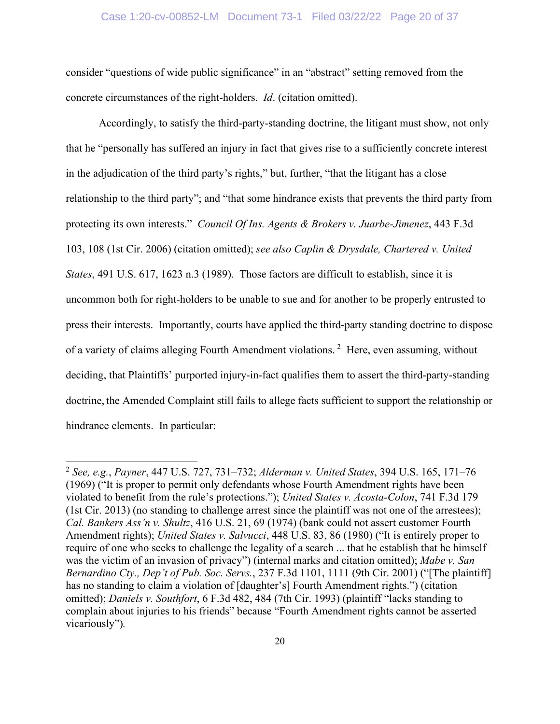### Case 1:20-cv-00852-LM Document 73-1 Filed 03/22/22 Page 20 of 37

consider "questions of wide public significance" in an "abstract" setting removed from the concrete circumstances of the right-holders. *Id*. (citation omitted).

Accordingly, to satisfy the third-party-standing doctrine, the litigant must show, not only that he "personally has suffered an injury in fact that gives rise to a sufficiently concrete interest in the adjudication of the third party's rights," but, further, "that the litigant has a close relationship to the third party"; and "that some hindrance exists that prevents the third party from protecting its own interests." *Council Of Ins. Agents & Brokers v. Juarbe-Jimenez*, 443 F.3d 103, 108 (1st Cir. 2006) (citation omitted); *see also Caplin & Drysdale, Chartered v. United States*, 491 U.S. 617, 1623 n.3 (1989). Those factors are difficult to establish, since it is uncommon both for right-holders to be unable to sue and for another to be properly entrusted to press their interests. Importantly, courts have applied the third-party standing doctrine to dispose of a variety of claims alleging Fourth Amendment violations.<sup>[2](#page-21-0)</sup> Here, even assuming, without deciding, that Plaintiffs' purported injury-in-fact qualifies them to assert the third-party-standing doctrine, the Amended Complaint still fails to allege facts sufficient to support the relationship or hindrance elements. In particular:

<span id="page-21-0"></span><sup>2</sup> *See, e.g.*, *Payner*, 447 U.S. 727, 731–732; *Alderman v. United States*, 394 U.S. 165, 171–76 (1969) ("It is proper to permit only defendants whose Fourth Amendment rights have been violated to benefit from the rule's protections."); *United States v. Acosta-Colon*, 741 F.3d 179 (1st Cir. 2013) (no standing to challenge arrest since the plaintiff was not one of the arrestees); *Cal. Bankers Ass'n v. Shultz*, 416 U.S. 21, 69 (1974) (bank could not assert customer Fourth Amendment rights); *United States v. Salvucci*, 448 U.S. 83, 86 (1980) ("It is entirely proper to require of one who seeks to challenge the legality of a search ... that he establish that he himself was the victim of an invasion of privacy") (internal marks and citation omitted); *Mabe v. San Bernardino Cty., Dep't of Pub. Soc. Servs.*, 237 F.3d 1101, 1111 (9th Cir. 2001) ("[The plaintiff] has no standing to claim a violation of [daughter's] Fourth Amendment rights.") (citation omitted); *Daniels v. Southfort*, 6 F.3d 482, 484 (7th Cir. 1993) (plaintiff "lacks standing to complain about injuries to his friends" because "Fourth Amendment rights cannot be asserted vicariously")*.*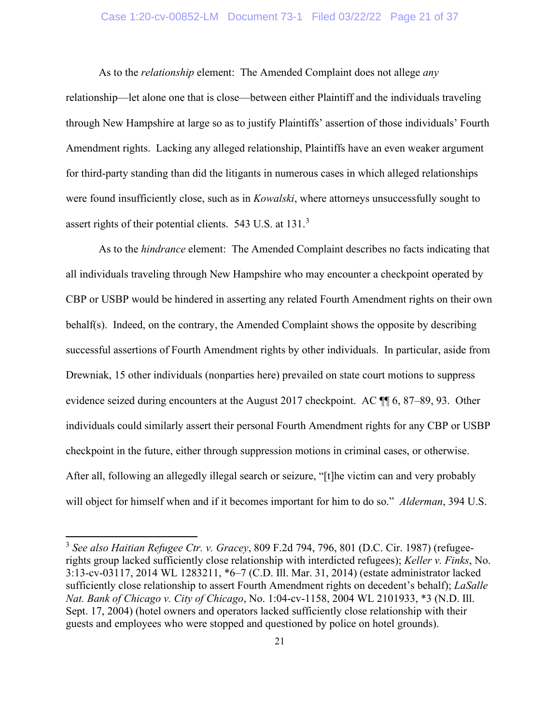### Case 1:20-cv-00852-LM Document 73-1 Filed 03/22/22 Page 21 of 37

As to the *relationship* element:The Amended Complaint does not allege *any* relationship—let alone one that is close—between either Plaintiff and the individuals traveling through New Hampshire at large so as to justify Plaintiffs' assertion of those individuals' Fourth Amendment rights. Lacking any alleged relationship, Plaintiffs have an even weaker argument for third-party standing than did the litigants in numerous cases in which alleged relationships were found insufficiently close, such as in *Kowalski*, where attorneys unsuccessfully sought to assert rights of their potential clients. 543 U.S. at 131.[3](#page-22-0)

As to the *hindrance* element: The Amended Complaint describes no facts indicating that all individuals traveling through New Hampshire who may encounter a checkpoint operated by CBP or USBP would be hindered in asserting any related Fourth Amendment rights on their own behalf(s).Indeed, on the contrary, the Amended Complaint shows the opposite by describing successful assertions of Fourth Amendment rights by other individuals. In particular, aside from Drewniak, 15 other individuals (nonparties here) prevailed on state court motions to suppress evidence seized during encounters at the August 2017 checkpoint. AC ¶¶ 6, 87–89, 93. Other individuals could similarly assert their personal Fourth Amendment rights for any CBP or USBP checkpoint in the future, either through suppression motions in criminal cases, or otherwise. After all, following an allegedly illegal search or seizure, "[t]he victim can and very probably will object for himself when and if it becomes important for him to do so." *Alderman*, 394 U.S.

<span id="page-22-0"></span><sup>3</sup> *See also Haitian Refugee Ctr. v. Gracey*, 809 F.2d 794, 796, 801 (D.C. Cir. 1987) (refugeerights group lacked sufficiently close relationship with interdicted refugees); *Keller v. Finks*, No. 3:13-cv-03117, 2014 WL 1283211, \*6–7 (C.D. Ill. Mar. 31, 2014) (estate administrator lacked sufficiently close relationship to assert Fourth Amendment rights on decedent's behalf); *LaSalle Nat. Bank of Chicago v. City of Chicago*, No. 1:04-cv-1158, 2004 WL 2101933, \*3 (N.D. Ill. Sept. 17, 2004) (hotel owners and operators lacked sufficiently close relationship with their guests and employees who were stopped and questioned by police on hotel grounds).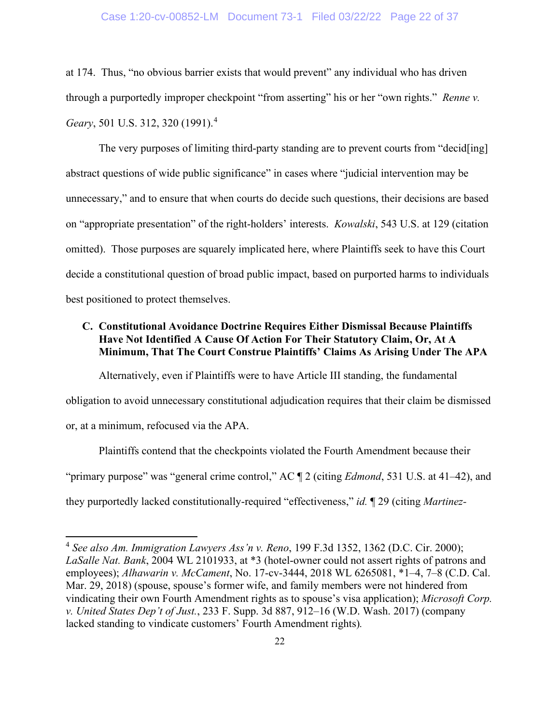#### Case 1:20-cv-00852-LM Document 73-1 Filed 03/22/22 Page 22 of 37

at 174. Thus, "no obvious barrier exists that would prevent" any individual who has driven through a purportedly improper checkpoint "from asserting" his or her "own rights." *Renne v. Geary*, 501 U.S. 312, 320 (1991).[4](#page-23-0)

The very purposes of limiting third-party standing are to prevent courts from "decid[ing] abstract questions of wide public significance" in cases where "judicial intervention may be unnecessary," and to ensure that when courts do decide such questions, their decisions are based on "appropriate presentation" of the right-holders' interests. *Kowalski*, 543 U.S. at 129 (citation omitted). Those purposes are squarely implicated here, where Plaintiffs seek to have this Court decide a constitutional question of broad public impact, based on purported harms to individuals best positioned to protect themselves.

# **C. Constitutional Avoidance Doctrine Requires Either Dismissal Because Plaintiffs Have Not Identified A Cause Of Action For Their Statutory Claim, Or, At A Minimum, That The Court Construe Plaintiffs' Claims As Arising Under The APA**

Alternatively, even if Plaintiffs were to have Article III standing, the fundamental obligation to avoid unnecessary constitutional adjudication requires that their claim be dismissed or, at a minimum, refocused via the APA.

Plaintiffs contend that the checkpoints violated the Fourth Amendment because their "primary purpose" was "general crime control," AC ¶ 2 (citing *Edmond*, 531 U.S. at 41–42), and they purportedly lacked constitutionally-required "effectiveness," *id.* ¶ 29 (citing *Martinez-*

<span id="page-23-0"></span><sup>4</sup> *See also Am. Immigration Lawyers Ass'n v. Reno*, 199 F.3d 1352, 1362 (D.C. Cir. 2000); *LaSalle Nat. Bank*, 2004 WL 2101933, at \*3 (hotel-owner could not assert rights of patrons and employees); *Alhawarin v. McCament*, No. 17-cv-3444, 2018 WL 6265081, \*1–4, 7–8 (C.D. Cal. Mar. 29, 2018) (spouse, spouse's former wife, and family members were not hindered from vindicating their own Fourth Amendment rights as to spouse's visa application); *Microsoft Corp. v. United States Dep't of Just.*, 233 F. Supp. 3d 887, 912–16 (W.D. Wash. 2017) (company lacked standing to vindicate customers' Fourth Amendment rights)*.*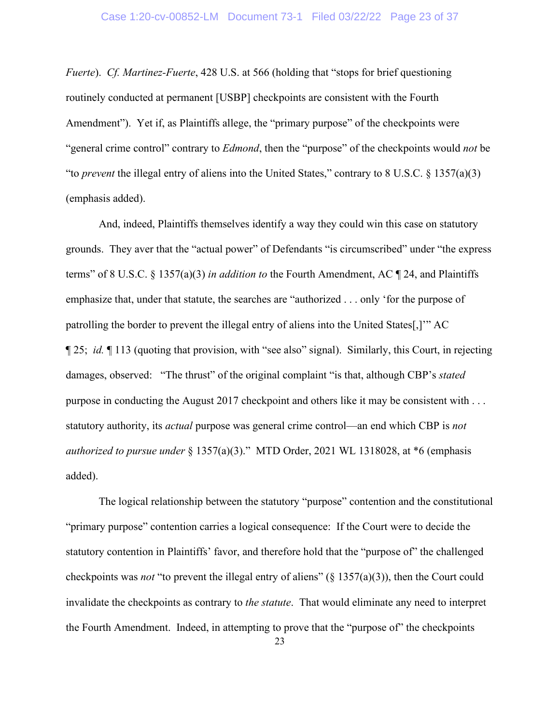*Fuerte*). *Cf. Martinez-Fuerte*, 428 U.S. at 566 (holding that "stops for brief questioning routinely conducted at permanent [USBP] checkpoints are consistent with the Fourth Amendment"). Yet if, as Plaintiffs allege, the "primary purpose" of the checkpoints were "general crime control" contrary to *Edmond*, then the "purpose" of the checkpoints would *not* be "to *prevent* the illegal entry of aliens into the United States," contrary to 8 U.S.C. § 1357(a)(3) (emphasis added).

And, indeed, Plaintiffs themselves identify a way they could win this case on statutory grounds. They aver that the "actual power" of Defendants "is circumscribed" under "the express terms" of 8 U.S.C. § 1357(a)(3) *in addition to* the Fourth Amendment, AC ¶ 24, and Plaintiffs emphasize that, under that statute, the searches are "authorized . . . only 'for the purpose of patrolling the border to prevent the illegal entry of aliens into the United States[,]'" AC ¶ 25; *id.* ¶ 113 (quoting that provision, with "see also" signal). Similarly, this Court, in rejecting damages, observed: "The thrust" of the original complaint "is that, although CBP's *stated* purpose in conducting the August 2017 checkpoint and others like it may be consistent with . . . statutory authority, its *actual* purpose was general crime control—an end which CBP is *not authorized to pursue under* § 1357(a)(3)." MTD Order, 2021 WL 1318028, at \*6 (emphasis added).

The logical relationship between the statutory "purpose" contention and the constitutional "primary purpose" contention carries a logical consequence: If the Court were to decide the statutory contention in Plaintiffs' favor, and therefore hold that the "purpose of" the challenged checkpoints was *not* "to prevent the illegal entry of aliens" (§ 1357(a)(3)), then the Court could invalidate the checkpoints as contrary to *the statute*. That would eliminate any need to interpret the Fourth Amendment. Indeed, in attempting to prove that the "purpose of" the checkpoints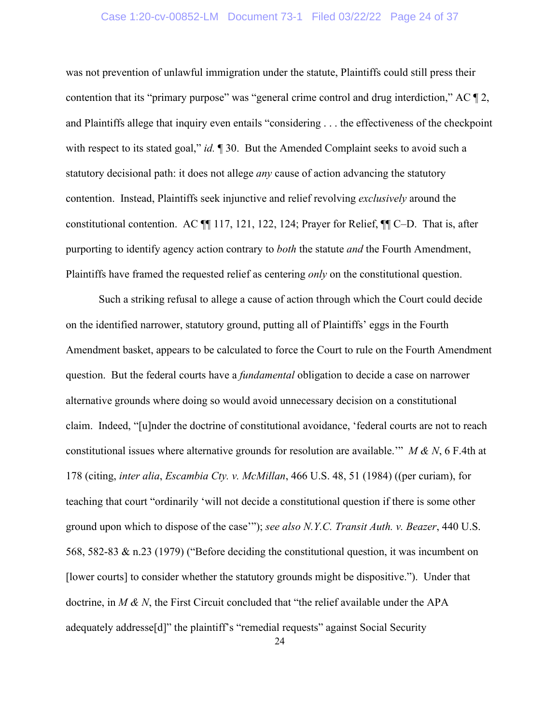#### Case 1:20-cv-00852-LM Document 73-1 Filed 03/22/22 Page 24 of 37

was not prevention of unlawful immigration under the statute, Plaintiffs could still press their contention that its "primary purpose" was "general crime control and drug interdiction," AC ¶ 2, and Plaintiffs allege that inquiry even entails "considering . . . the effectiveness of the checkpoint with respect to its stated goal," *id.* 1 30. But the Amended Complaint seeks to avoid such a statutory decisional path: it does not allege *any* cause of action advancing the statutory contention. Instead, Plaintiffs seek injunctive and relief revolving *exclusively* around the constitutional contention. AC ¶¶ 117, 121, 122, 124; Prayer for Relief, ¶¶ C–D. That is, after purporting to identify agency action contrary to *both* the statute *and* the Fourth Amendment, Plaintiffs have framed the requested relief as centering *only* on the constitutional question.

Such a striking refusal to allege a cause of action through which the Court could decide on the identified narrower, statutory ground, putting all of Plaintiffs' eggs in the Fourth Amendment basket, appears to be calculated to force the Court to rule on the Fourth Amendment question. But the federal courts have a *fundamental* obligation to decide a case on narrower alternative grounds where doing so would avoid unnecessary decision on a constitutional claim. Indeed, "[u]nder the doctrine of constitutional avoidance, 'federal courts are not to reach constitutional issues where alternative grounds for resolution are available.'" *M & N*, 6 F.4th at 178 (citing, *inter alia*, *Escambia Cty. v. McMillan*, 466 U.S. 48, 51 (1984) ((per curiam), for teaching that court "ordinarily 'will not decide a constitutional question if there is some other ground upon which to dispose of the case'"); *see also N.Y.C. Transit Auth. v. Beazer*, 440 U.S. 568, 582-83 & n.23 (1979) ("Before deciding the constitutional question, it was incumbent on [lower courts] to consider whether the statutory grounds might be dispositive."). Under that doctrine, in *M & N*, the First Circuit concluded that "the relief available under the APA adequately addresse[d]" the plaintiff's "remedial requests" against Social Security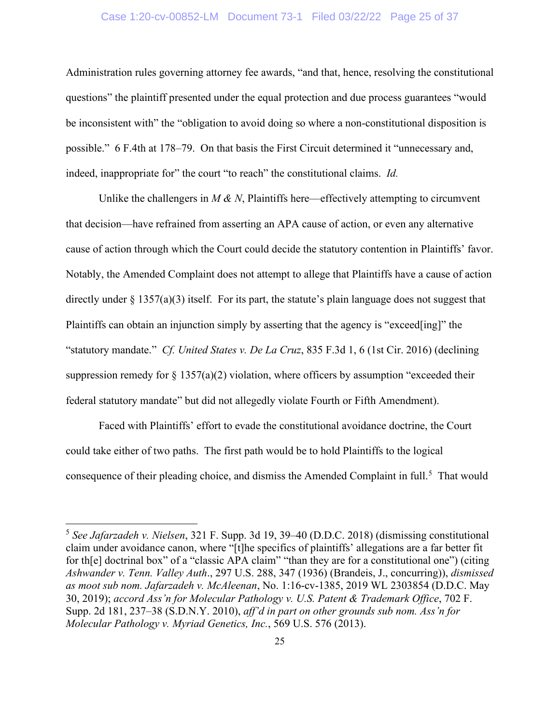### Case 1:20-cv-00852-LM Document 73-1 Filed 03/22/22 Page 25 of 37

Administration rules governing attorney fee awards, "and that, hence, resolving the constitutional questions" the plaintiff presented under the equal protection and due process guarantees "would be inconsistent with" the "obligation to avoid doing so where a non-constitutional disposition is possible." 6 F.4th at 178–79. On that basis the First Circuit determined it "unnecessary and, indeed, inappropriate for" the court "to reach" the constitutional claims. *Id.*

Unlike the challengers in  $M \& N$ , Plaintiffs here—effectively attempting to circumvent that decision—have refrained from asserting an APA cause of action, or even any alternative cause of action through which the Court could decide the statutory contention in Plaintiffs' favor. Notably, the Amended Complaint does not attempt to allege that Plaintiffs have a cause of action directly under  $\S 1357(a)(3)$  itself. For its part, the statute's plain language does not suggest that Plaintiffs can obtain an injunction simply by asserting that the agency is "exceed[ing]" the "statutory mandate." *Cf. United States v. De La Cruz*, 835 F.3d 1, 6 (1st Cir. 2016) (declining suppression remedy for  $\S 1357(a)(2)$  violation, where officers by assumption "exceeded their federal statutory mandate" but did not allegedly violate Fourth or Fifth Amendment).

Faced with Plaintiffs' effort to evade the constitutional avoidance doctrine, the Court could take either of two paths. The first path would be to hold Plaintiffs to the logical consequence of their pleading choice, and dismiss the Amended Complaint in full.<sup>[5](#page-26-0)</sup> That would

<span id="page-26-0"></span><sup>5</sup> *See Jafarzadeh v. Nielsen*, 321 F. Supp. 3d 19, 39–40 (D.D.C. 2018) (dismissing constitutional claim under avoidance canon, where "[t]he specifics of plaintiffs' allegations are a far better fit for th[e] doctrinal box" of a "classic APA claim" "than they are for a constitutional one") (citing *Ashwander v. Tenn. Valley Auth*., 297 U.S. 288, 347 (1936) (Brandeis, J., concurring)), *dismissed as moot sub nom. Jafarzadeh v. McAleenan*, No. 1:16-cv-1385, 2019 WL 2303854 (D.D.C. May 30, 2019); *accord Ass'n for Molecular Pathology v. U.S. Patent & Trademark Office*, 702 F. Supp. 2d 181, 237–38 (S.D.N.Y. 2010), *aff'd in part on other grounds sub nom. Ass'n for Molecular Pathology v. Myriad Genetics, Inc.*, 569 U.S. 576 (2013).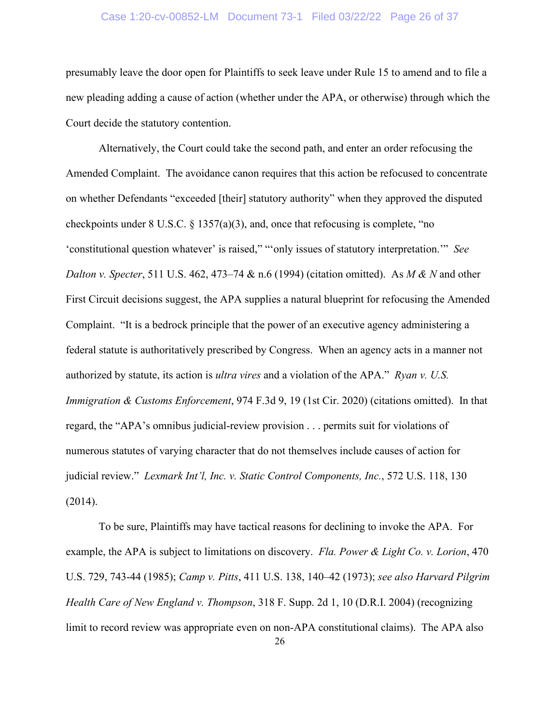#### Case 1:20-cv-00852-LM Document 73-1 Filed 03/22/22 Page 26 of 37

presumably leave the door open for Plaintiffs to seek leave under Rule 15 to amend and to file a new pleading adding a cause of action (whether under the APA, or otherwise) through which the Court decide the statutory contention.

Alternatively, the Court could take the second path, and enter an order refocusing the Amended Complaint. The avoidance canon requires that this action be refocused to concentrate on whether Defendants "exceeded [their] statutory authority" when they approved the disputed checkpoints under 8 U.S.C. § 1357(a)(3), and, once that refocusing is complete, "no 'constitutional question whatever' is raised," "'only issues of statutory interpretation.'" *See Dalton v. Specter*, 511 U.S. 462, 473–74 & n.6 (1994) (citation omitted). As *M & N* and other First Circuit decisions suggest, the APA supplies a natural blueprint for refocusing the Amended Complaint. "It is a bedrock principle that the power of an executive agency administering a federal statute is authoritatively prescribed by Congress. When an agency acts in a manner not authorized by statute, its action is *ultra vires* and a violation of the APA." *Ryan v. U.S. Immigration & Customs Enforcement*, 974 F.3d 9, 19 (1st Cir. 2020) (citations omitted). In that regard, the "APA's omnibus judicial-review provision . . . permits suit for violations of numerous statutes of varying character that do not themselves include causes of action for judicial review." *Lexmark Int'l, Inc. v. Static Control Components, Inc.*, 572 U.S. 118, 130 (2014).

To be sure, Plaintiffs may have tactical reasons for declining to invoke the APA. For example, the APA is subject to limitations on discovery. *Fla. Power & Light Co. v. Lorion*, 470 U.S. 729, 743-44 (1985); *Camp v. Pitts*, 411 U.S. 138, 140–42 (1973); *see also Harvard Pilgrim Health Care of New England v. Thompson*, 318 F. Supp. 2d 1, 10 (D.R.I. 2004) (recognizing limit to record review was appropriate even on non-APA constitutional claims). The APA also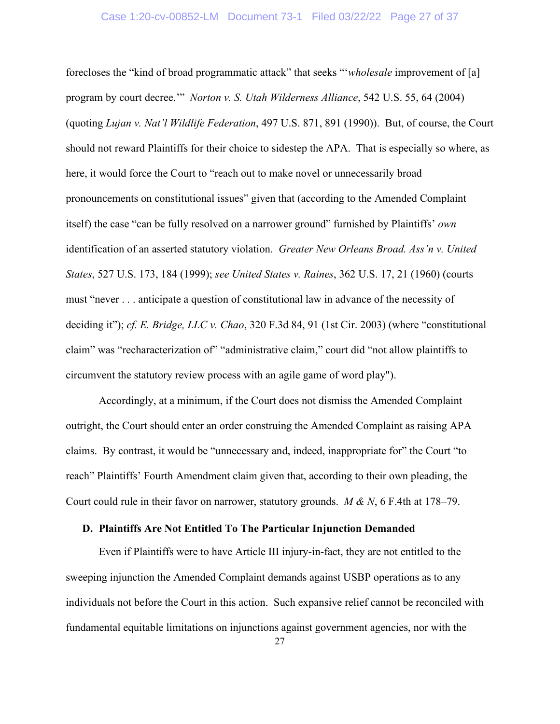#### Case 1:20-cv-00852-LM Document 73-1 Filed 03/22/22 Page 27 of 37

forecloses the "kind of broad programmatic attack" that seeks "'*wholesale* improvement of [a] program by court decree.'" *Norton v. S. Utah Wilderness Alliance*, 542 U.S. 55, 64 (2004) (quoting *Lujan v. Nat'l Wildlife Federation*, 497 U.S. 871, 891 (1990)). But, of course, the Court should not reward Plaintiffs for their choice to sidestep the APA. That is especially so where, as here, it would force the Court to "reach out to make novel or unnecessarily broad pronouncements on constitutional issues" given that (according to the Amended Complaint itself) the case "can be fully resolved on a narrower ground" furnished by Plaintiffs' *own* identification of an asserted statutory violation. *Greater New Orleans Broad. Ass'n v. United States*, 527 U.S. 173, 184 (1999); *see United States v. Raines*, 362 U.S. 17, 21 (1960) (courts must "never . . . anticipate a question of constitutional law in advance of the necessity of deciding it"); *cf. E. Bridge, LLC v. Chao*, 320 F.3d 84, 91 (1st Cir. 2003) (where "constitutional claim" was "recharacterization of" "administrative claim," court did "not allow plaintiffs to circumvent the statutory review process with an agile game of word play").

Accordingly, at a minimum, if the Court does not dismiss the Amended Complaint outright, the Court should enter an order construing the Amended Complaint as raising APA claims. By contrast, it would be "unnecessary and, indeed, inappropriate for" the Court "to reach" Plaintiffs' Fourth Amendment claim given that, according to their own pleading, the Court could rule in their favor on narrower, statutory grounds. *M & N*, 6 F.4th at 178–79.

### **D. Plaintiffs Are Not Entitled To The Particular Injunction Demanded**

Even if Plaintiffs were to have Article III injury-in-fact, they are not entitled to the sweeping injunction the Amended Complaint demands against USBP operations as to any individuals not before the Court in this action. Such expansive relief cannot be reconciled with fundamental equitable limitations on injunctions against government agencies, nor with the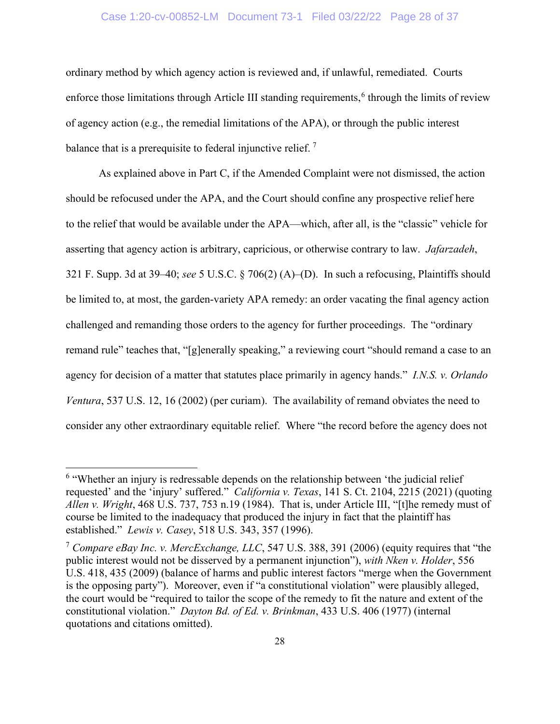### Case 1:20-cv-00852-LM Document 73-1 Filed 03/22/22 Page 28 of 37

ordinary method by which agency action is reviewed and, if unlawful, remediated. Courts enforce those limitations through Article III standing requirements, $<sup>6</sup>$  $<sup>6</sup>$  $<sup>6</sup>$  through the limits of review</sup> of agency action (e.g., the remedial limitations of the APA), or through the public interest balance that is a prerequisite to federal injunctive relief.<sup>[7](#page-29-1)</sup>

As explained above in Part C, if the Amended Complaint were not dismissed, the action should be refocused under the APA, and the Court should confine any prospective relief here to the relief that would be available under the APA—which, after all, is the "classic" vehicle for asserting that agency action is arbitrary, capricious, or otherwise contrary to law. *Jafarzadeh*, 321 F. Supp. 3d at 39–40; *see* 5 U.S.C. § 706(2) (A)–(D). In such a refocusing, Plaintiffs should be limited to, at most, the garden-variety APA remedy: an order vacating the final agency action challenged and remanding those orders to the agency for further proceedings. The "ordinary remand rule" teaches that, "[g]enerally speaking," a reviewing court "should remand a case to an agency for decision of a matter that statutes place primarily in agency hands." *I.N.S. v. Orlando Ventura*, 537 U.S. 12, 16 (2002) (per curiam). The availability of remand obviates the need to consider any other extraordinary equitable relief. Where "the record before the agency does not

<span id="page-29-0"></span><sup>&</sup>lt;sup>6</sup> "Whether an injury is redressable depends on the relationship between 'the judicial relief requested' and the 'injury' suffered." *California v. Texas*, 141 S. Ct. 2104, 2215 (2021) (quoting *Allen v. Wright*, 468 U.S. 737, 753 n.19 (1984). That is, under Article III, "[t]he remedy must of course be limited to the inadequacy that produced the injury in fact that the plaintiff has established." *Lewis v. Casey*, 518 U.S. 343, 357 (1996).

<span id="page-29-1"></span><sup>7</sup> *Compare eBay Inc. v. MercExchange, LLC*, 547 U.S. 388, 391 (2006) (equity requires that "the public interest would not be disserved by a permanent injunction"), *with Nken v. Holder*, 556 U.S. 418, 435 (2009) (balance of harms and public interest factors "merge when the Government is the opposing party"). Moreover, even if "a constitutional violation" were plausibly alleged, the court would be "required to tailor the scope of the remedy to fit the nature and extent of the constitutional violation." *Dayton Bd. of Ed. v. Brinkman*, 433 U.S. 406 (1977) (internal quotations and citations omitted).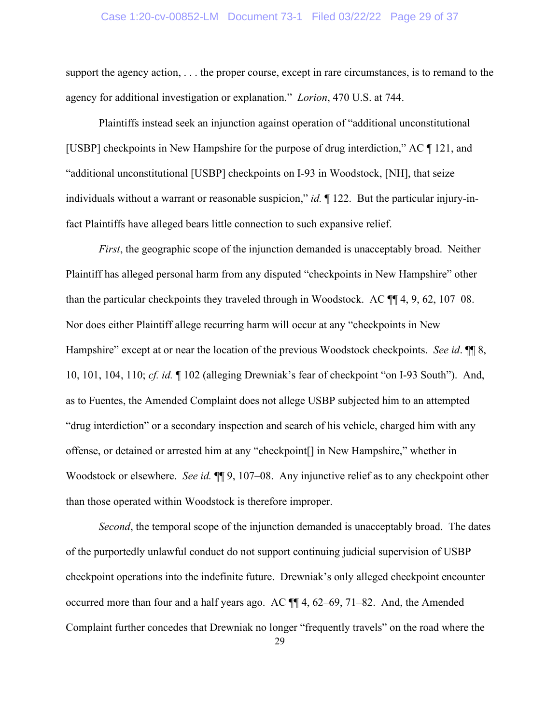#### Case 1:20-cv-00852-LM Document 73-1 Filed 03/22/22 Page 29 of 37

support the agency action, . . . the proper course, except in rare circumstances, is to remand to the agency for additional investigation or explanation." *Lorion*, 470 U.S. at 744.

Plaintiffs instead seek an injunction against operation of "additional unconstitutional [USBP] checkpoints in New Hampshire for the purpose of drug interdiction," AC ¶ 121, and "additional unconstitutional [USBP] checkpoints on I-93 in Woodstock, [NH], that seize individuals without a warrant or reasonable suspicion," *id.* ¶ 122. But the particular injury-infact Plaintiffs have alleged bears little connection to such expansive relief.

*First*, the geographic scope of the injunction demanded is unacceptably broad. Neither Plaintiff has alleged personal harm from any disputed "checkpoints in New Hampshire" other than the particular checkpoints they traveled through in Woodstock. AC ¶¶ 4, 9, 62, 107–08. Nor does either Plaintiff allege recurring harm will occur at any "checkpoints in New Hampshire" except at or near the location of the previous Woodstock checkpoints. *See id*. ¶¶ 8, 10, 101, 104, 110; *cf. id.* ¶ 102 (alleging Drewniak's fear of checkpoint "on I-93 South"). And, as to Fuentes, the Amended Complaint does not allege USBP subjected him to an attempted "drug interdiction" or a secondary inspection and search of his vehicle, charged him with any offense, or detained or arrested him at any "checkpoint[] in New Hampshire," whether in Woodstock or elsewhere. *See id.*  $\P\P$  9, 107–08. Any injunctive relief as to any checkpoint other than those operated within Woodstock is therefore improper.

*Second*, the temporal scope of the injunction demanded is unacceptably broad. The dates of the purportedly unlawful conduct do not support continuing judicial supervision of USBP checkpoint operations into the indefinite future. Drewniak's only alleged checkpoint encounter occurred more than four and a half years ago. AC ¶¶ 4, 62–69, 71–82. And, the Amended Complaint further concedes that Drewniak no longer "frequently travels" on the road where the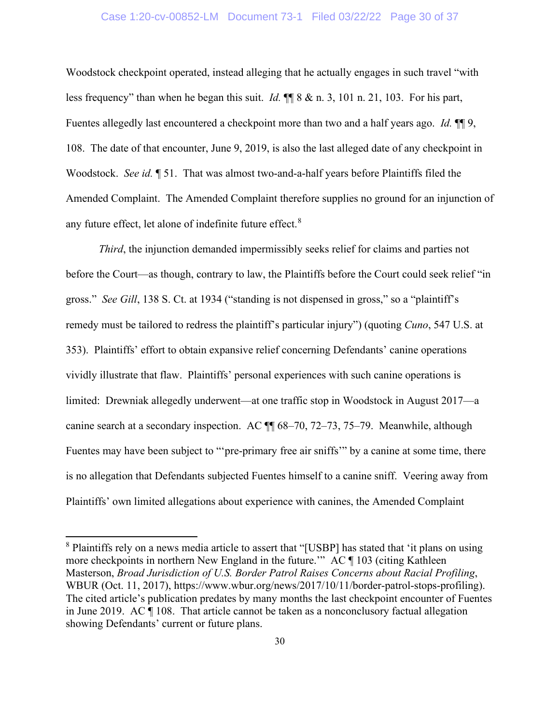### Case 1:20-cv-00852-LM Document 73-1 Filed 03/22/22 Page 30 of 37

Woodstock checkpoint operated, instead alleging that he actually engages in such travel "with less frequency" than when he began this suit. *Id.* ¶¶ 8 & n. 3, 101 n. 21, 103. For his part, Fuentes allegedly last encountered a checkpoint more than two and a half years ago. *Id.* ¶¶ 9, 108. The date of that encounter, June 9, 2019, is also the last alleged date of any checkpoint in Woodstock. *See id.* ¶ 51. That was almost two-and-a-half years before Plaintiffs filed the Amended Complaint. The Amended Complaint therefore supplies no ground for an injunction of any future effect, let alone of indefinite future effect.<sup>[8](#page-31-0)</sup>

*Third*, the injunction demanded impermissibly seeks relief for claims and parties not before the Court—as though, contrary to law, the Plaintiffs before the Court could seek relief "in gross." *See Gill*, 138 S. Ct. at 1934 ("standing is not dispensed in gross," so a "plaintiff's remedy must be tailored to redress the plaintiff's particular injury") (quoting *Cuno*, 547 U.S. at 353). Plaintiffs' effort to obtain expansive relief concerning Defendants' canine operations vividly illustrate that flaw. Plaintiffs' personal experiences with such canine operations is limited: Drewniak allegedly underwent—at one traffic stop in Woodstock in August 2017—a canine search at a secondary inspection. AC ¶¶ 68–70, 72–73, 75–79. Meanwhile, although Fuentes may have been subject to "'pre-primary free air sniffs'" by a canine at some time, there is no allegation that Defendants subjected Fuentes himself to a canine sniff. Veering away from Plaintiffs' own limited allegations about experience with canines, the Amended Complaint

<span id="page-31-0"></span><sup>&</sup>lt;sup>8</sup> Plaintiffs rely on a news media article to assert that "[USBP] has stated that 'it plans on using more checkpoints in northern New England in the future.'" AC ¶ 103 (citing Kathleen Masterson, *Broad Jurisdiction of U.S. Border Patrol Raises Concerns about Racial Profiling*, WBUR (Oct. 11, 2017), https://www.wbur.org/news/2017/10/11/border-patrol-stops-profiling). The cited article's publication predates by many months the last checkpoint encounter of Fuentes in June 2019. AC ¶ 108. That article cannot be taken as a nonconclusory factual allegation showing Defendants' current or future plans.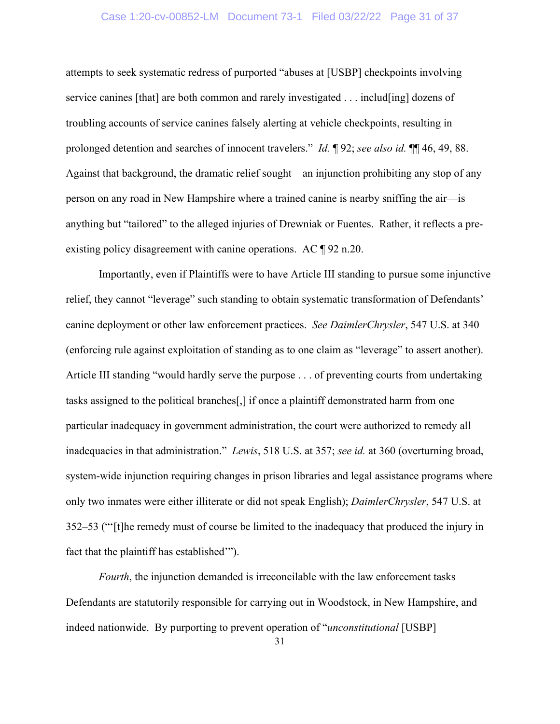### Case 1:20-cv-00852-LM Document 73-1 Filed 03/22/22 Page 31 of 37

attempts to seek systematic redress of purported "abuses at [USBP] checkpoints involving service canines [that] are both common and rarely investigated . . . includ[ing] dozens of troubling accounts of service canines falsely alerting at vehicle checkpoints, resulting in prolonged detention and searches of innocent travelers." *Id.* ¶ 92; *see also id.* ¶¶ 46, 49, 88. Against that background, the dramatic relief sought—an injunction prohibiting any stop of any person on any road in New Hampshire where a trained canine is nearby sniffing the air—is anything but "tailored" to the alleged injuries of Drewniak or Fuentes. Rather, it reflects a preexisting policy disagreement with canine operations. AC ¶ 92 n.20.

Importantly, even if Plaintiffs were to have Article III standing to pursue some injunctive relief, they cannot "leverage" such standing to obtain systematic transformation of Defendants' canine deployment or other law enforcement practices. *See DaimlerChrysler*, 547 U.S. at 340 (enforcing rule against exploitation of standing as to one claim as "leverage" to assert another). Article III standing "would hardly serve the purpose . . . of preventing courts from undertaking tasks assigned to the political branches[,] if once a plaintiff demonstrated harm from one particular inadequacy in government administration, the court were authorized to remedy all inadequacies in that administration." *Lewis*, 518 U.S. at 357; *see id.* at 360 (overturning broad, system-wide injunction requiring changes in prison libraries and legal assistance programs where only two inmates were either illiterate or did not speak English); *DaimlerChrysler*, 547 U.S. at 352–53 ("'[t]he remedy must of course be limited to the inadequacy that produced the injury in fact that the plaintiff has established'").

*Fourth*, the injunction demanded is irreconcilable with the law enforcement tasks Defendants are statutorily responsible for carrying out in Woodstock, in New Hampshire, and indeed nationwide. By purporting to prevent operation of "*unconstitutional* [USBP]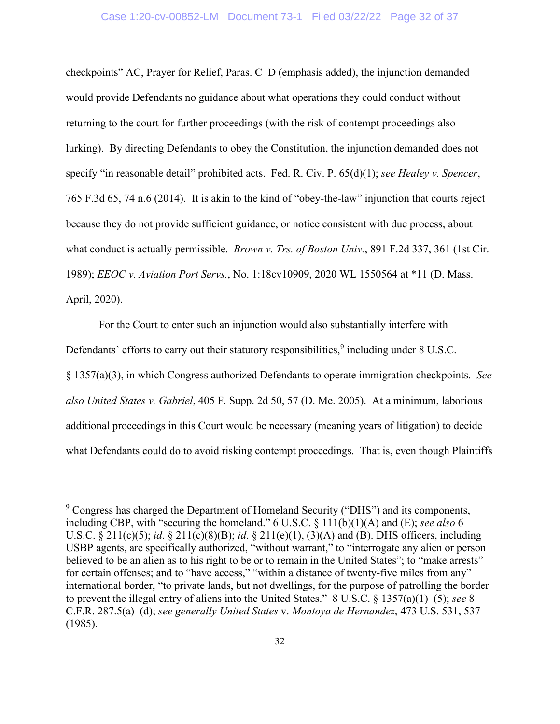checkpoints" AC, Prayer for Relief, Paras. C–D (emphasis added), the injunction demanded would provide Defendants no guidance about what operations they could conduct without returning to the court for further proceedings (with the risk of contempt proceedings also lurking). By directing Defendants to obey the Constitution, the injunction demanded does not specify "in reasonable detail" prohibited acts. Fed. R. Civ. P. 65(d)(1); *see Healey v. Spencer*, 765 F.3d 65, 74 n.6 (2014). It is akin to the kind of "obey-the-law" injunction that courts reject because they do not provide sufficient guidance, or notice consistent with due process, about what conduct is actually permissible. *Brown v. Trs. of Boston Univ.*, 891 F.2d 337, 361 (1st Cir. 1989); *EEOC v. Aviation Port Servs.*, No. 1:18cv10909, 2020 WL 1550564 at \*11 (D. Mass. April, 2020).

For the Court to enter such an injunction would also substantially interfere with Defendants' efforts to carry out their statutory responsibilities,  $9$  including under  $8$  U.S.C. § 1357(a)(3), in which Congress authorized Defendants to operate immigration checkpoints. *See also United States v. Gabriel*, 405 F. Supp. 2d 50, 57 (D. Me. 2005). At a minimum, laborious additional proceedings in this Court would be necessary (meaning years of litigation) to decide what Defendants could do to avoid risking contempt proceedings. That is, even though Plaintiffs

<span id="page-33-0"></span><sup>9</sup> Congress has charged the Department of Homeland Security ("DHS") and its components, including CBP, with "securing the homeland." 6 U.S.C. § 111(b)(1)(A) and (E); *see also* 6 U.S.C. § 211(c)(5); *id*. § 211(c)(8)(B); *id*. § 211(e)(1), (3)(A) and (B). DHS officers, including USBP agents, are specifically authorized, "without warrant," to "interrogate any alien or person believed to be an alien as to his right to be or to remain in the United States"; to "make arrests" for certain offenses; and to "have access," "within a distance of twenty-five miles from any" international border, "to private lands, but not dwellings, for the purpose of patrolling the border to prevent the illegal entry of aliens into the United States." 8 U.S.C. § 1357(a)(1)–(5); *see* 8 C.F.R. 287.5(a)–(d); *see generally United States* v. *Montoya de Hernandez*, 473 U.S. 531, 537 (1985).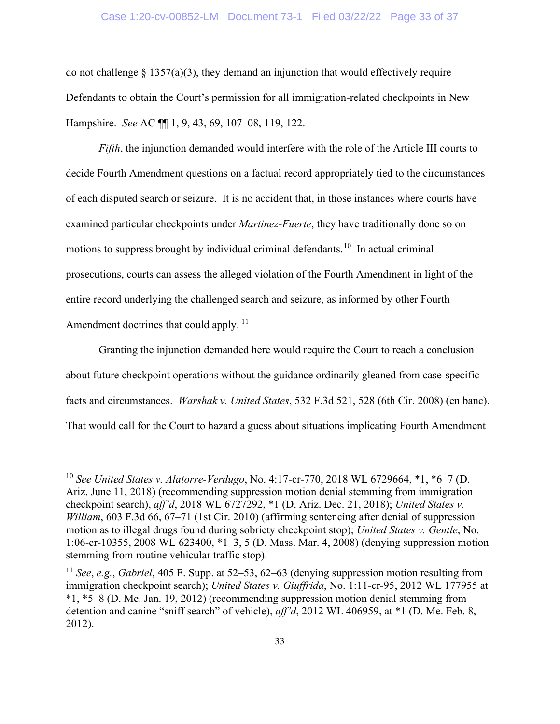### Case 1:20-cv-00852-LM Document 73-1 Filed 03/22/22 Page 33 of 37

do not challenge  $\S 1357(a)(3)$ , they demand an injunction that would effectively require Defendants to obtain the Court's permission for all immigration-related checkpoints in New Hampshire. *See* AC ¶¶ 1, 9, 43, 69, 107–08, 119, 122.

*Fifth*, the injunction demanded would interfere with the role of the Article III courts to decide Fourth Amendment questions on a factual record appropriately tied to the circumstances of each disputed search or seizure. It is no accident that, in those instances where courts have examined particular checkpoints under *Martinez-Fuerte*, they have traditionally done so on motions to suppress brought by individual criminal defendants.<sup>[10](#page-34-0)</sup> In actual criminal prosecutions, courts can assess the alleged violation of the Fourth Amendment in light of the entire record underlying the challenged search and seizure, as informed by other Fourth Amendment doctrines that could apply.<sup>[11](#page-34-1)</sup>

Granting the injunction demanded here would require the Court to reach a conclusion about future checkpoint operations without the guidance ordinarily gleaned from case-specific facts and circumstances. *Warshak v. United States*, 532 F.3d 521, 528 (6th Cir. 2008) (en banc). That would call for the Court to hazard a guess about situations implicating Fourth Amendment

<span id="page-34-0"></span><sup>10</sup> *See United States v. Alatorre-Verdugo*, No. 4:17-cr-770, 2018 WL 6729664, \*1, \*6–7 (D. Ariz. June 11, 2018) (recommending suppression motion denial stemming from immigration checkpoint search), *aff'd*, 2018 WL 6727292, \*1 (D. Ariz. Dec. 21, 2018); *United States v. William*, 603 F.3d 66, 67–71 (1st Cir. 2010) (affirming sentencing after denial of suppression motion as to illegal drugs found during sobriety checkpoint stop); *United States v. Gentle*, No. 1:06-cr-10355, 2008 WL 623400, \*1–3, 5 (D. Mass. Mar. 4, 2008) (denying suppression motion stemming from routine vehicular traffic stop).

<span id="page-34-1"></span><sup>11</sup> *See*, *e.g.*, *Gabriel*, 405 F. Supp. at 52–53, 62–63 (denying suppression motion resulting from immigration checkpoint search); *United States v. Giuffrida*, No. 1:11-cr-95, 2012 WL 177955 at \*1, \*5–8 (D. Me. Jan. 19, 2012) (recommending suppression motion denial stemming from detention and canine "sniff search" of vehicle), *aff'd*, 2012 WL 406959, at \*1 (D. Me. Feb. 8, 2012).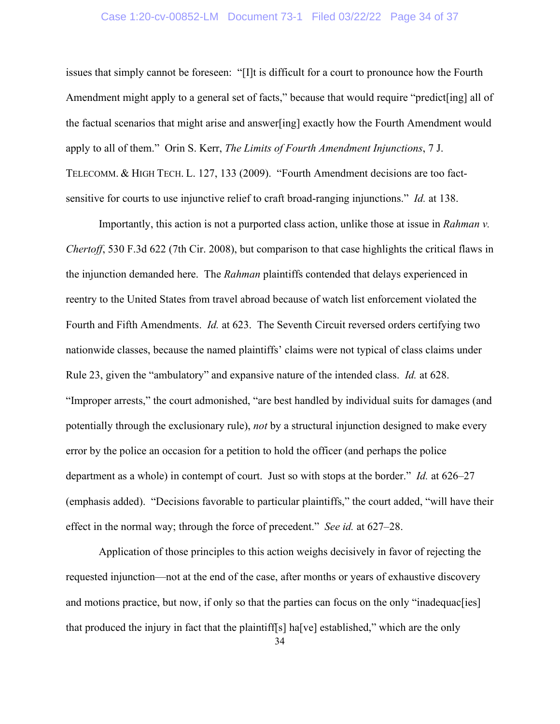### Case 1:20-cv-00852-LM Document 73-1 Filed 03/22/22 Page 34 of 37

issues that simply cannot be foreseen: "[I]t is difficult for a court to pronounce how the Fourth Amendment might apply to a general set of facts," because that would require "predict[ing] all of the factual scenarios that might arise and answer[ing] exactly how the Fourth Amendment would apply to all of them." Orin S. Kerr, *The Limits of Fourth Amendment Injunctions*, 7 J. TELECOMM. & HIGH TECH. L. 127, 133 (2009). "Fourth Amendment decisions are too factsensitive for courts to use injunctive relief to craft broad-ranging injunctions." *Id.* at 138.

Importantly, this action is not a purported class action, unlike those at issue in *Rahman v. Chertoff*, 530 F.3d 622 (7th Cir. 2008), but comparison to that case highlights the critical flaws in the injunction demanded here. The *Rahman* plaintiffs contended that delays experienced in reentry to the United States from travel abroad because of watch list enforcement violated the Fourth and Fifth Amendments. *Id.* at 623. The Seventh Circuit reversed orders certifying two nationwide classes, because the named plaintiffs' claims were not typical of class claims under Rule 23, given the "ambulatory" and expansive nature of the intended class. *Id.* at 628. "Improper arrests," the court admonished, "are best handled by individual suits for damages (and potentially through the exclusionary rule), *not* by a structural injunction designed to make every error by the police an occasion for a petition to hold the officer (and perhaps the police department as a whole) in contempt of court. Just so with stops at the border." *Id.* at 626–27 (emphasis added). "Decisions favorable to particular plaintiffs," the court added, "will have their effect in the normal way; through the force of precedent." *See id.* at 627–28.

Application of those principles to this action weighs decisively in favor of rejecting the requested injunction—not at the end of the case, after months or years of exhaustive discovery and motions practice, but now, if only so that the parties can focus on the only "inadequac[ies] that produced the injury in fact that the plaintiff[s] ha[ve] established," which are the only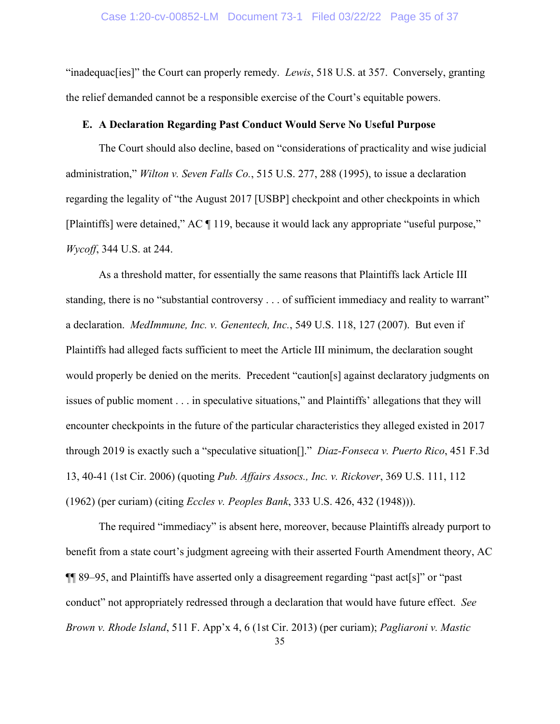"inadequac[ies]" the Court can properly remedy. *Lewis*, 518 U.S. at 357. Conversely, granting the relief demanded cannot be a responsible exercise of the Court's equitable powers.

### **E. A Declaration Regarding Past Conduct Would Serve No Useful Purpose**

The Court should also decline, based on "considerations of practicality and wise judicial administration," *Wilton v. Seven Falls Co.*, 515 U.S. 277, 288 (1995), to issue a declaration regarding the legality of "the August 2017 [USBP] checkpoint and other checkpoints in which [Plaintiffs] were detained," AC ¶ 119, because it would lack any appropriate "useful purpose," *Wycoff*, 344 U.S. at 244.

As a threshold matter, for essentially the same reasons that Plaintiffs lack Article III standing, there is no "substantial controversy . . . of sufficient immediacy and reality to warrant" a declaration. *MedImmune, Inc. v. Genentech, Inc.*, 549 U.S. 118, 127 (2007). But even if Plaintiffs had alleged facts sufficient to meet the Article III minimum, the declaration sought would properly be denied on the merits. Precedent "caution[s] against declaratory judgments on issues of public moment . . . in speculative situations," and Plaintiffs' allegations that they will encounter checkpoints in the future of the particular characteristics they alleged existed in 2017 through 2019 is exactly such a "speculative situation[]." *Diaz-Fonseca v. Puerto Rico*, 451 F.3d 13, 40-41 (1st Cir. 2006) (quoting *Pub. Affairs Assocs., Inc. v. Rickover*, 369 U.S. 111, 112 (1962) (per curiam) (citing *Eccles v. Peoples Bank*, 333 U.S. 426, 432 (1948))).

35 The required "immediacy" is absent here, moreover, because Plaintiffs already purport to benefit from a state court's judgment agreeing with their asserted Fourth Amendment theory, AC ¶¶ 89–95, and Plaintiffs have asserted only a disagreement regarding "past act[s]" or "past conduct" not appropriately redressed through a declaration that would have future effect. *See Brown v. Rhode Island*, 511 F. App'x 4, 6 (1st Cir. 2013) (per curiam); *Pagliaroni v. Mastic*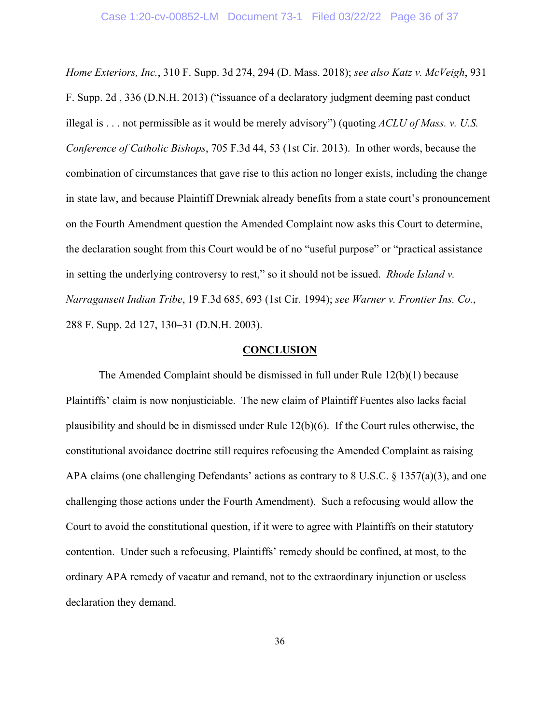*Home Exteriors, Inc.*, 310 F. Supp. 3d 274, 294 (D. Mass. 2018); *see also Katz v. McVeigh*, 931 F. Supp. 2d , 336 (D.N.H. 2013) ("issuance of a declaratory judgment deeming past conduct illegal is . . . not permissible as it would be merely advisory") (quoting *ACLU of Mass. v. U.S. Conference of Catholic Bishops*, 705 F.3d 44, 53 (1st Cir. 2013). In other words, because the combination of circumstances that gave rise to this action no longer exists, including the change in state law, and because Plaintiff Drewniak already benefits from a state court's pronouncement on the Fourth Amendment question the Amended Complaint now asks this Court to determine, the declaration sought from this Court would be of no "useful purpose" or "practical assistance in setting the underlying controversy to rest," so it should not be issued. *Rhode Island v. Narragansett Indian Tribe*, 19 F.3d 685, 693 (1st Cir. 1994); *see Warner v. Frontier Ins. Co.*, 288 F. Supp. 2d 127, 130–31 (D.N.H. 2003).

#### **CONCLUSION**

The Amended Complaint should be dismissed in full under Rule 12(b)(1) because Plaintiffs' claim is now nonjusticiable. The new claim of Plaintiff Fuentes also lacks facial plausibility and should be in dismissed under Rule 12(b)(6). If the Court rules otherwise, the constitutional avoidance doctrine still requires refocusing the Amended Complaint as raising APA claims (one challenging Defendants' actions as contrary to 8 U.S.C. § 1357(a)(3), and one challenging those actions under the Fourth Amendment). Such a refocusing would allow the Court to avoid the constitutional question, if it were to agree with Plaintiffs on their statutory contention. Under such a refocusing, Plaintiffs' remedy should be confined, at most, to the ordinary APA remedy of vacatur and remand, not to the extraordinary injunction or useless declaration they demand.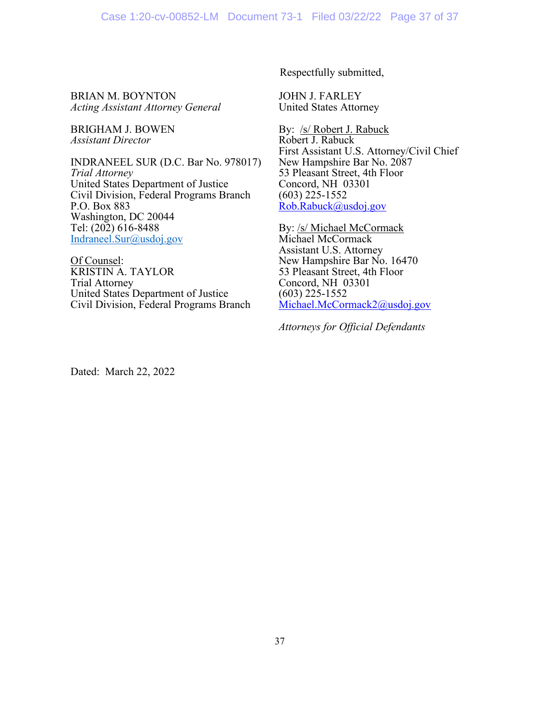Respectfully submitted,

BRIAN M. BOYNTON *Acting Assistant Attorney General*

BRIGHAM J. BOWEN *Assistant Director*

INDRANEEL SUR (D.C. Bar No. 978017) *Trial Attorney* United States Department of Justice Civil Division, Federal Programs Branch P.O. Box 883 Washington, DC 20044 Tel: (202) 616-8488 [Indraneel.Sur@usdoj.gov](mailto:Indraneel.Sur@usdoj.gov)

Of Counsel: KRISTIN A. TAYLOR Trial Attorney United States Department of Justice Civil Division, Federal Programs Branch JOHN J. FARLEY United States Attorney

By: /s/ Robert J. Rabuck Robert J. Rabuck First Assistant U.S. Attorney/Civil Chief New Hampshire Bar No. 2087 53 Pleasant Street, 4th Floor Concord, NH 03301 (603) 225-1552 [Rob.Rabuck@usdoj.gov](mailto:Rob.Rabuck@usdoj.gov)

By: /s/ Michael McCormack Michael McCormack Assistant U.S. Attorney New Hampshire Bar No. 16470 53 Pleasant Street, 4th Floor Concord, NH 03301 (603) 225-1552 [Michael.McCormack2@usdoj.gov](mailto:Michael.McCormack2@usdoj.gov)

*Attorneys for Official Defendants*

Dated: March 22, 2022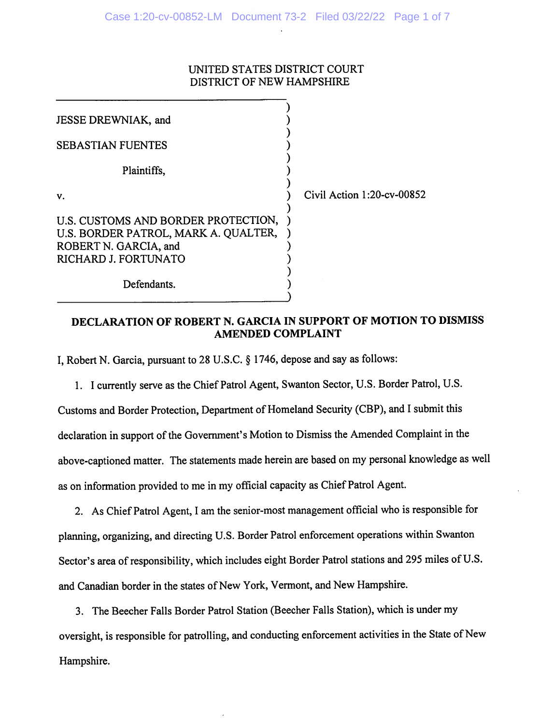# UNITED STATES DISTRICT COURT DISTRICT OF NEW HAMPSHIRE

| JESSE DREWNIAK, and                                                                                                          |                            |
|------------------------------------------------------------------------------------------------------------------------------|----------------------------|
| <b>SEBASTIAN FUENTES</b>                                                                                                     |                            |
| Plaintiffs,                                                                                                                  |                            |
| V.                                                                                                                           | Civil Action 1:20-cv-00852 |
| U.S. CUSTOMS AND BORDER PROTECTION,<br>U.S. BORDER PATROL, MARK A. QUALTER,<br>ROBERT N. GARCIA, and<br>RICHARD J. FORTUNATO |                            |
| Defendants.                                                                                                                  |                            |

# DECLARATION OF ROBERT N. GARCIA IN SUPPORT OF MOTION TO DISMISS **AMENDED COMPLAINT**

I, Robert N. Garcia, pursuant to 28 U.S.C. § 1746, depose and say as follows:

1. I currently serve as the Chief Patrol Agent, Swanton Sector, U.S. Border Patrol, U.S.

Customs and Border Protection, Department of Homeland Security (CBP), and I submit this declaration in support of the Government's Motion to Dismiss the Amended Complaint in the above-captioned matter. The statements made herein are based on my personal knowledge as well as on information provided to me in my official capacity as Chief Patrol Agent.

2. As Chief Patrol Agent, I am the senior-most management official who is responsible for planning, organizing, and directing U.S. Border Patrol enforcement operations within Swanton Sector's area of responsibility, which includes eight Border Patrol stations and 295 miles of U.S. and Canadian border in the states of New York, Vermont, and New Hampshire.

3. The Beecher Falls Border Patrol Station (Beecher Falls Station), which is under my oversight, is responsible for patrolling, and conducting enforcement activities in the State of New Hampshire.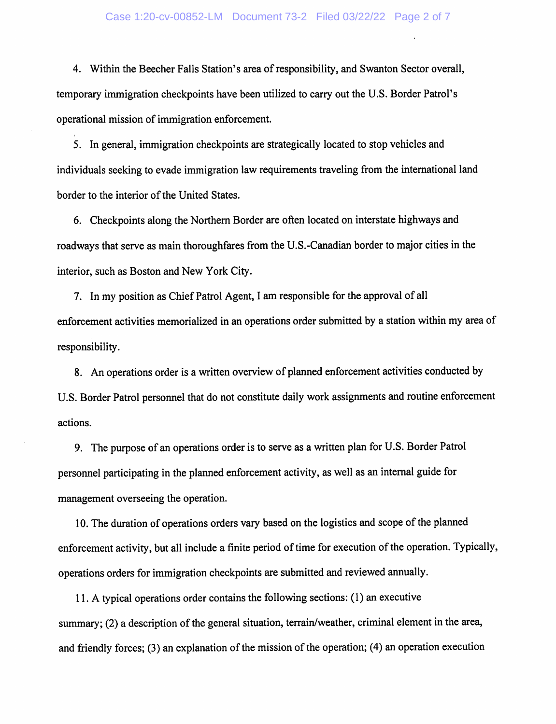#### Case 1:20-cv-00852-LM Document 73-2 Filed 03/22/22 Page 2 of 7

4. Within the Beecher Falls Station's area of responsibility, and Swanton Sector overall, temporary immigration checkpoints have been utilized to carry out the U.S. Border Patrol's operational mission of immigration enforcement.

5. In general, immigration checkpoints are strategically located to stop vehicles and individuals seeking to evade immigration law requirements traveling from the international land border to the interior of the United States.

6. Checkpoints along the Northern Border are often located on interstate highways and roadways that serve as main thoroughfares from the U.S.-Canadian border to major cities in the interior, such as Boston and New York City.

7. In my position as Chief Patrol Agent, I am responsible for the approval of all enforcement activities memorialized in an operations order submitted by a station within my area of responsibility.

8. An operations order is a written overview of planned enforcement activities conducted by U.S. Border Patrol personnel that do not constitute daily work assignments and routine enforcement actions.

9. The purpose of an operations order is to serve as a written plan for U.S. Border Patrol personnel participating in the planned enforcement activity, as well as an internal guide for management overseeing the operation.

10. The duration of operations orders vary based on the logistics and scope of the planned enforcement activity, but all include a finite period of time for execution of the operation. Typically, operations orders for immigration checkpoints are submitted and reviewed annually.

11. A typical operations order contains the following sections: (1) an executive summary; (2) a description of the general situation, terrain/weather, criminal element in the area, and friendly forces; (3) an explanation of the mission of the operation; (4) an operation execution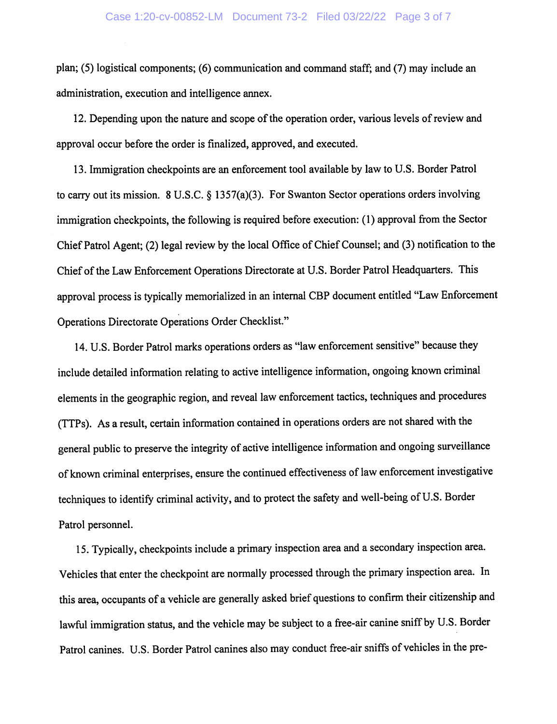plan; (5) logistical components; (6) communication and command staff; and (7) may include an administration, execution and intelligence annex.

12. Depending upon the nature and scope of the operation order, various levels of review and approval occur before the order is finalized, approved, and executed.

13. Immigration checkpoints are an enforcement tool available by law to U.S. Border Patrol to carry out its mission. 8 U.S.C.  $\S$  1357(a)(3). For Swanton Sector operations orders involving immigration checkpoints, the following is required before execution: (1) approval from the Sector Chief Patrol Agent; (2) legal review by the local Office of Chief Counsel; and (3) notification to the Chief of the Law Enforcement Operations Directorate at U.S. Border Patrol Headquarters. This approval process is typically memorialized in an internal CBP document entitled "Law Enforcement Operations Directorate Operations Order Checklist."

14. U.S. Border Patrol marks operations orders as "law enforcement sensitive" because they include detailed information relating to active intelligence information, ongoing known criminal elements in the geographic region, and reveal law enforcement tactics, techniques and procedures (TTPs). As a result, certain information contained in operations orders are not shared with the general public to preserve the integrity of active intelligence information and ongoing surveillance of known criminal enterprises, ensure the continued effectiveness of law enforcement investigative techniques to identify criminal activity, and to protect the safety and well-being of U.S. Border Patrol personnel.

15. Typically, checkpoints include a primary inspection area and a secondary inspection area. Vehicles that enter the checkpoint are normally processed through the primary inspection area. In this area, occupants of a vehicle are generally asked brief questions to confirm their citizenship and lawful immigration status, and the vehicle may be subject to a free-air canine sniff by U.S. Border Patrol canines. U.S. Border Patrol canines also may conduct free-air sniffs of vehicles in the pre-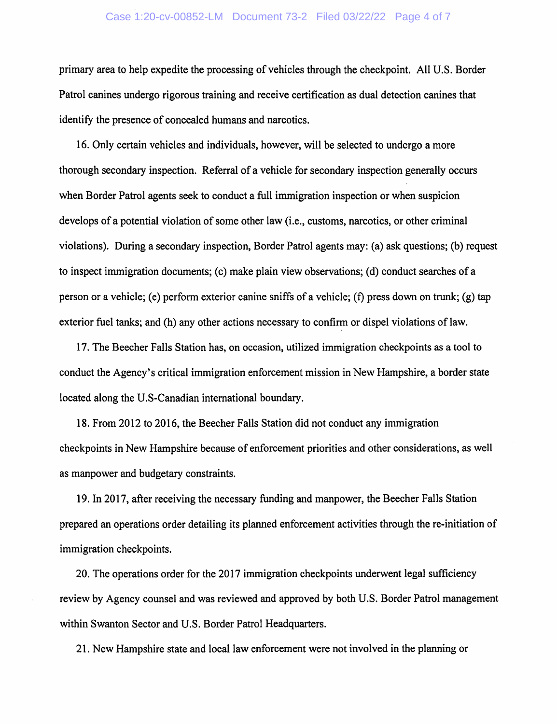# Case 1:20-cv-00852-LM Document 73-2 Filed 03/22/22 Page 4 of 7

primary area to help expedite the processing of vehicles through the checkpoint. All U.S. Border Patrol canines undergo rigorous training and receive certification as dual detection canines that identify the presence of concealed humans and narcotics.

16. Only certain vehicles and individuals, however, will be selected to undergo a more thorough secondary inspection. Referral of a vehicle for secondary inspection generally occurs when Border Patrol agents seek to conduct a full immigration inspection or when suspicion develops of a potential violation of some other law (i.e., customs, narcotics, or other criminal violations). During a secondary inspection, Border Patrol agents may: (a) ask questions; (b) request to inspect immigration documents; (c) make plain view observations; (d) conduct searches of a person or a vehicle; (e) perform exterior canine sniffs of a vehicle; (f) press down on trunk; (g) tap exterior fuel tanks; and (h) any other actions necessary to confirm or dispel violations of law.

17. The Beecher Falls Station has, on occasion, utilized immigration checkpoints as a tool to conduct the Agency's critical immigration enforcement mission in New Hampshire, a border state located along the U.S-Canadian international boundary.

18. From 2012 to 2016, the Beecher Falls Station did not conduct any immigration checkpoints in New Hampshire because of enforcement priorities and other considerations, as well as manpower and budgetary constraints.

19. In 2017, after receiving the necessary funding and manpower, the Beecher Falls Station prepared an operations order detailing its planned enforcement activities through the re-initiation of immigration checkpoints.

20. The operations order for the 2017 immigration checkpoints underwent legal sufficiency review by Agency counsel and was reviewed and approved by both U.S. Border Patrol management within Swanton Sector and U.S. Border Patrol Headquarters.

21. New Hampshire state and local law enforcement were not involved in the planning or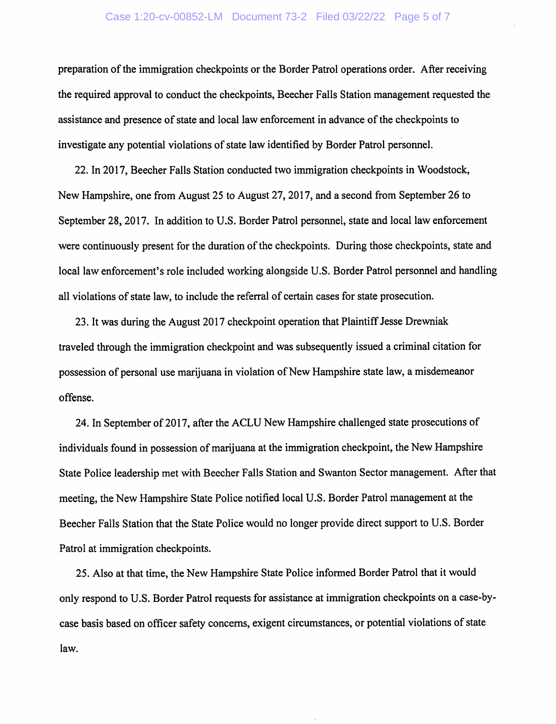### Case 1:20-cv-00852-LM Document 73-2 Filed 03/22/22 Page 5 of 7

preparation of the immigration checkpoints or the Border Patrol operations order. After receiving the required approval to conduct the checkpoints, Beecher Falls Station management requested the assistance and presence of state and local law enforcement in advance of the checkpoints to investigate any potential violations of state law identified by Border Patrol personnel.

22. In 2017, Beecher Falls Station conducted two immigration checkpoints in Woodstock, New Hampshire, one from August 25 to August 27, 2017, and a second from September 26 to September 28, 2017. In addition to U.S. Border Patrol personnel, state and local law enforcement were continuously present for the duration of the checkpoints. During those checkpoints, state and local law enforcement's role included working alongside U.S. Border Patrol personnel and handling all violations of state law, to include the referral of certain cases for state prosecution.

23. It was during the August 2017 checkpoint operation that Plaintiff Jesse Drewniak traveled through the immigration checkpoint and was subsequently issued a criminal citation for possession of personal use marijuana in violation of New Hampshire state law, a misdemeanor offense.

24. In September of 2017, after the ACLU New Hampshire challenged state prosecutions of individuals found in possession of marijuana at the immigration checkpoint, the New Hampshire State Police leadership met with Beecher Falls Station and Swanton Sector management. After that meeting, the New Hampshire State Police notified local U.S. Border Patrol management at the Beecher Falls Station that the State Police would no longer provide direct support to U.S. Border Patrol at immigration checkpoints.

25. Also at that time, the New Hampshire State Police informed Border Patrol that it would only respond to U.S. Border Patrol requests for assistance at immigration checkpoints on a case-bycase basis based on officer safety concerns, exigent circumstances, or potential violations of state law.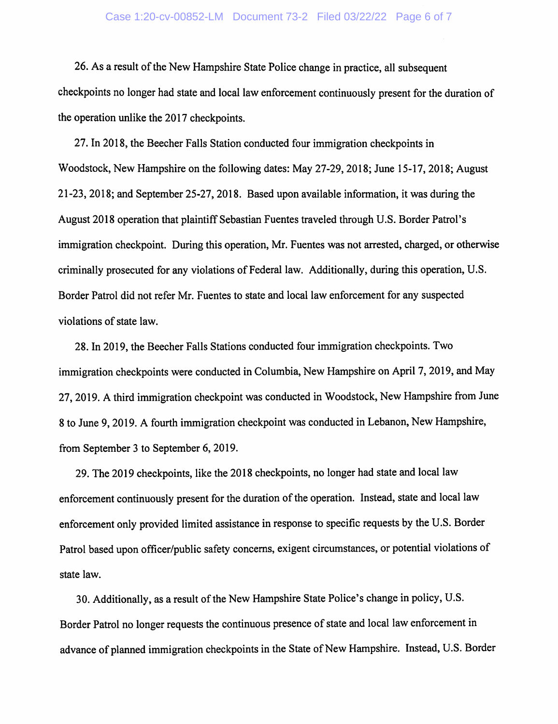### Case 1:20-cv-00852-LM Document 73-2 Filed 03/22/22 Page 6 of 7

26. As a result of the New Hampshire State Police change in practice, all subsequent checkpoints no longer had state and local law enforcement continuously present for the duration of the operation unlike the 2017 checkpoints.

27. In 2018, the Beecher Falls Station conducted four immigration checkpoints in Woodstock, New Hampshire on the following dates: May 27-29, 2018; June 15-17, 2018; August 21-23, 2018; and September 25-27, 2018. Based upon available information, it was during the August 2018 operation that plaintiff Sebastian Fuentes traveled through U.S. Border Patrol's immigration checkpoint. During this operation, Mr. Fuentes was not arrested, charged, or otherwise criminally prosecuted for any violations of Federal law. Additionally, during this operation, U.S. Border Patrol did not refer Mr. Fuentes to state and local law enforcement for any suspected violations of state law.

28. In 2019, the Beecher Falls Stations conducted four immigration checkpoints. Two immigration checkpoints were conducted in Columbia, New Hampshire on April 7, 2019, and May 27, 2019. A third immigration checkpoint was conducted in Woodstock, New Hampshire from June 8 to June 9, 2019. A fourth immigration checkpoint was conducted in Lebanon, New Hampshire, from September 3 to September 6, 2019.

29. The 2019 checkpoints, like the 2018 checkpoints, no longer had state and local law enforcement continuously present for the duration of the operation. Instead, state and local law enforcement only provided limited assistance in response to specific requests by the U.S. Border Patrol based upon officer/public safety concerns, exigent circumstances, or potential violations of state law.

30. Additionally, as a result of the New Hampshire State Police's change in policy, U.S. Border Patrol no longer requests the continuous presence of state and local law enforcement in advance of planned immigration checkpoints in the State of New Hampshire. Instead, U.S. Border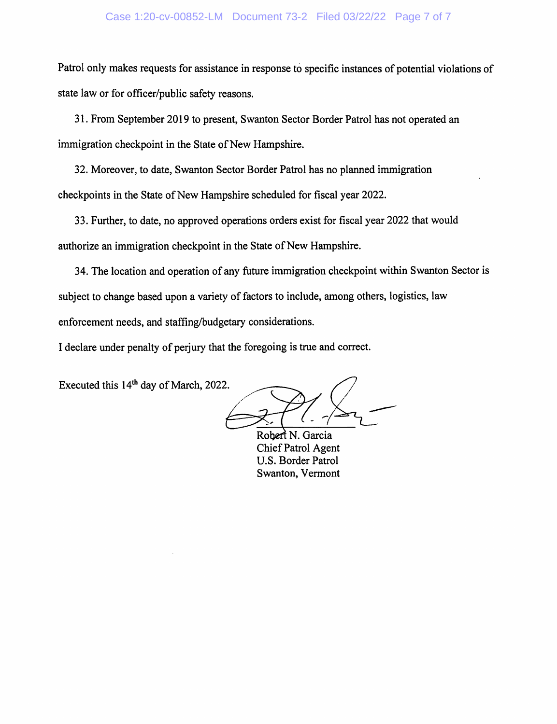### Case 1:20-cv-00852-LM Document 73-2 Filed 03/22/22 Page 7 of 7

Patrol only makes requests for assistance in response to specific instances of potential violations of state law or for officer/public safety reasons.

31. From September 2019 to present, Swanton Sector Border Patrol has not operated an immigration checkpoint in the State of New Hampshire.

32. Moreover, to date, Swanton Sector Border Patrol has no planned immigration checkpoints in the State of New Hampshire scheduled for fiscal year 2022.

33. Further, to date, no approved operations orders exist for fiscal year 2022 that would authorize an immigration checkpoint in the State of New Hampshire.

34. The location and operation of any future immigration checkpoint within Swanton Sector is subject to change based upon a variety of factors to include, among others, logistics, law enforcement needs, and staffing/budgetary considerations.

I declare under penalty of perjury that the foregoing is true and correct.

Executed this 14<sup>th</sup> day of March, 2022.

Robert N. Garcia Chief Patrol Agent U.S. Border Patrol Swanton, Vermont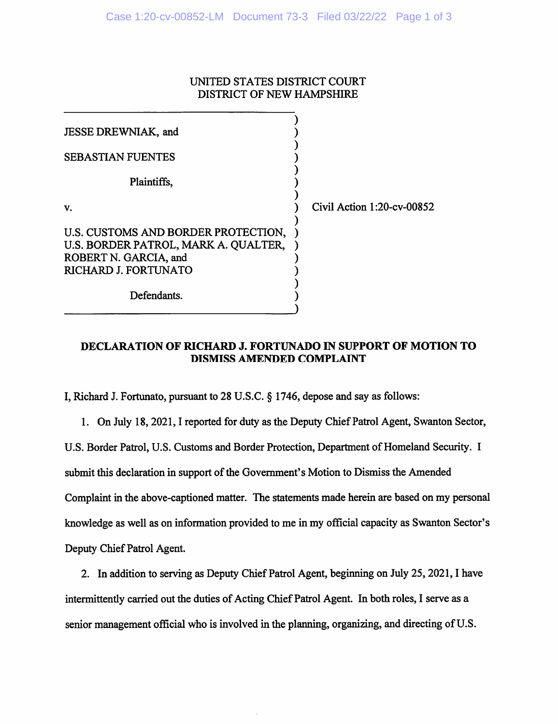# UNITED STATES DISTRICT COURT DISTRICT OF NEW HAMPSHIRE

| JESSE DREWNIAK, and                                                                                                          |                            |
|------------------------------------------------------------------------------------------------------------------------------|----------------------------|
| <b>SEBASTIAN FUENTES</b>                                                                                                     |                            |
| Plaintiffs,                                                                                                                  |                            |
| V.                                                                                                                           | Civil Action 1:20-cv-00852 |
| U.S. CUSTOMS AND BORDER PROTECTION,<br>U.S. BORDER PATROL, MARK A. QUALTER,<br>ROBERT N. GARCIA, and<br>RICHARD J. FORTUNATO |                            |
| Defendants.                                                                                                                  |                            |

# DECLARATION OF RICHARD J. FORTUNADO IN SUPPORT OF MOTION TO **DISMISS AMENDED COMPLAINT**

I, Richard J. Fortunato, pursuant to 28 U.S.C. § 1746, depose and say as follows:

1. On July 18, 2021, I reported for duty as the Deputy Chief Patrol Agent, Swanton Sector, U.S. Border Patrol, U.S. Customs and Border Protection, Department of Homeland Security. I submit this declaration in support of the Government's Motion to Dismiss the Amended Complaint in the above-captioned matter. The statements made herein are based on my personal knowledge as well as on information provided to me in my official capacity as Swanton Sector's Deputy Chief Patrol Agent.

2. In addition to serving as Deputy Chief Patrol Agent, beginning on July 25, 2021, I have intermittently carried out the duties of Acting Chief Patrol Agent. In both roles, I serve as a senior management official who is involved in the planning, organizing, and directing of U.S.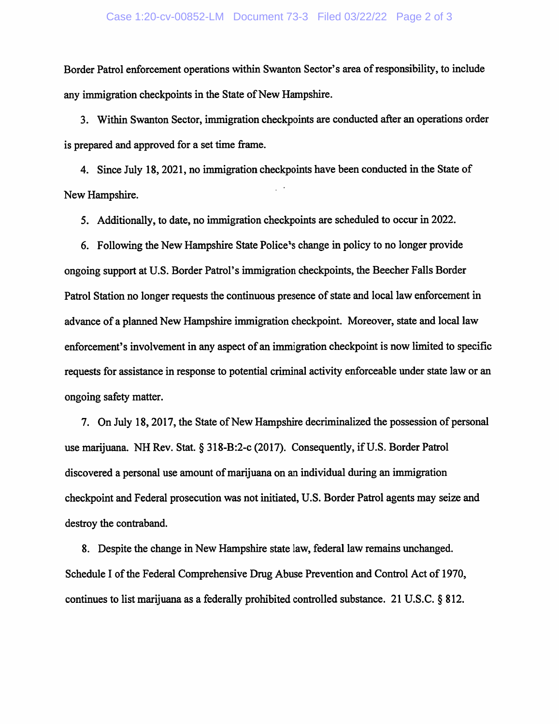#### Case 1:20-cv-00852-LM Document 73-3 Filed 03/22/22 Page 2 of 3

Border Patrol enforcement operations within Swanton Sector's area of responsibility, to include any immigration checkpoints in the State of New Hampshire.

3. Within Swanton Sector, immigration checkpoints are conducted after an operations order is prepared and approved for a set time frame.

4. Since July 18, 2021, no immigration checkpoints have been conducted in the State of New Hampshire.

5. Additionally, to date, no immigration checkpoints are scheduled to occur in 2022.

6. Following the New Hampshire State Police's change in policy to no longer provide ongoing support at U.S. Border Patrol's immigration checkpoints, the Beecher Falls Border Patrol Station no longer requests the continuous presence of state and local law enforcement in advance of a planned New Hampshire immigration checkpoint. Moreover, state and local law enforcement's involvement in any aspect of an immigration checkpoint is now limited to specific requests for assistance in response to potential criminal activity enforceable under state law or an ongoing safety matter.

7. On July 18, 2017, the State of New Hampshire decriminalized the possession of personal use marijuana. NH Rev. Stat. § 318-B:2-c (2017). Consequently, if U.S. Border Patrol discovered a personal use amount of marijuana on an individual during an immigration checkpoint and Federal prosecution was not initiated, U.S. Border Patrol agents may seize and destroy the contraband.

8. Despite the change in New Hampshire state law, federal law remains unchanged. Schedule I of the Federal Comprehensive Drug Abuse Prevention and Control Act of 1970, continues to list marijuana as a federally prohibited controlled substance. 21 U.S.C. § 812.